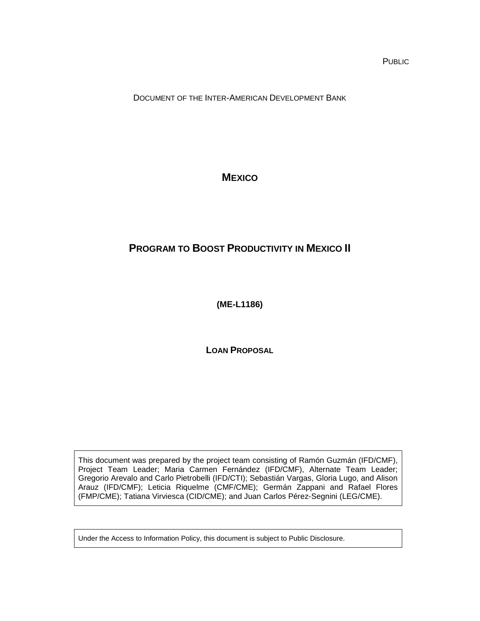PUBLIC

DOCUMENT OF THE INTER-AMERICAN DEVELOPMENT BANK

**MEXICO**

# <span id="page-0-1"></span><span id="page-0-0"></span>**PROGRAM TO BOOST PRODUCTIVITY IN MEXICO II**

<span id="page-0-2"></span>**(ME-L1186)**

**LOAN PROPOSAL**

This document was prepared by the project team consisting of Ramón Guzmán (IFD/CMF), Project Team Leader; Maria Carmen Fernández (IFD/CMF), Alternate Team Leader; Gregorio Arevalo and Carlo Pietrobelli (IFD/CTI); Sebastián Vargas, Gloria Lugo, and Alison Arauz (IFD/CMF); Leticia Riquelme (CMF/CME); Germán Zappani and Rafael Flores (FMP/CME); Tatiana Virviesca (CID/CME); and Juan Carlos Pérez-Segnini (LEG/CME).

Under the Access to Information Policy, this document is subject to Public Disclosure.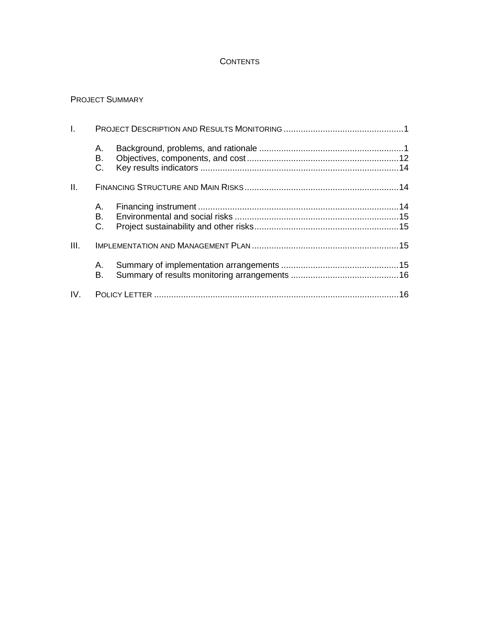### **CONTENTS**

## PROJECT SUMMARY

| I.   |                |  |
|------|----------------|--|
|      | А.<br>В.<br>C. |  |
| II.  |                |  |
|      | А.<br>B.<br>C. |  |
| III. |                |  |
|      | А.<br>В.       |  |
|      |                |  |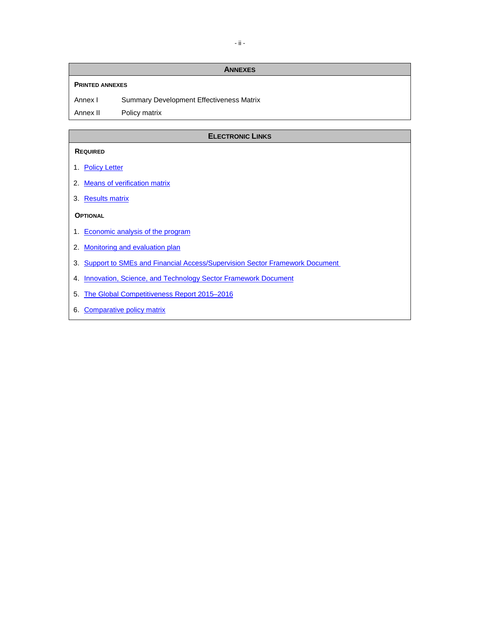#### **ANNEXES**

#### **PRINTED ANNEXES**

Annex I Summary Development Effectiveness Matrix

Annex II Policy matrix

#### **ELECTRONIC LINKS**

#### **REQUIRED**

- 1. [Policy Letter](http://idbdocs.iadb.org/wsdocs/getDocument.aspx?Docnum=40277447)
- 2. [Means of verification matrix](http://idbdocs.iadb.org/wsdocs/getDocument.aspx?Docnum=40128289)
- 3. [Results matrix](http://idbdocs.iadb.org/wsdocs/getDocument.aspx?Docnum=40128295)

#### **OPTIONAL**

- 1. [Economic analysis](http://idbdocs.iadb.org/wsdocs/getDocument.aspx?Docnum=40125056) of the program
- 2. [Monitoring and evaluation plan](http://idbdocs.iadb.org/wsdocs/getDocument.aspx?Docnum=40126391)
- 3. Support to SMEs and Financial Access/Supervision Sector Framework Document
- 4. Innovation, Science, and Technology Sector Framework Document
- 5. [The Global Competitiveness Report 2015–2016](http://reports.weforum.org/global-competitiveness-report-2015-2016/)
- 6. [Comparative policy matrix](http://idbdocs.iadb.org/wsdocs/getDocument.aspx?Docnum=40237354)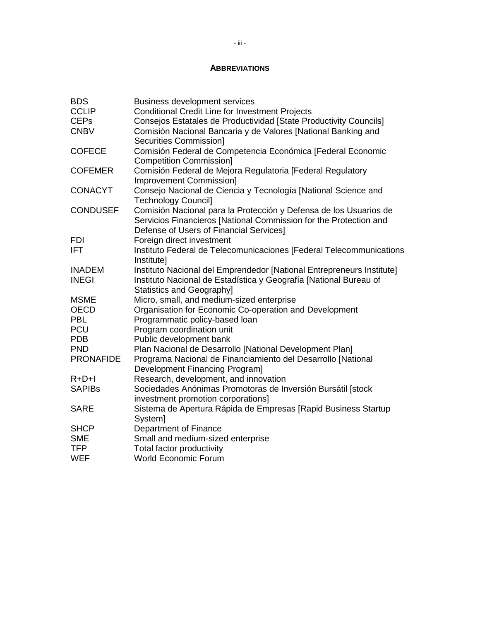#### **ABBREVIATIONS**

| <b>Business development services</b>                                  |
|-----------------------------------------------------------------------|
| <b>Conditional Credit Line for Investment Projects</b>                |
| Consejos Estatales de Productividad [State Productivity Councils]     |
| Comisión Nacional Bancaria y de Valores [National Banking and         |
| <b>Securities Commission]</b>                                         |
| Comisión Federal de Competencia Económica [Federal Economic           |
| <b>Competition Commission]</b>                                        |
| Comisión Federal de Mejora Regulatoria [Federal Regulatory            |
| <b>Improvement Commission]</b>                                        |
| Consejo Nacional de Ciencia y Tecnología [National Science and        |
| <b>Technology Council]</b>                                            |
| Comisión Nacional para la Protección y Defensa de los Usuarios de     |
| Servicios Financieros [National Commission for the Protection and     |
| Defense of Users of Financial Services]                               |
| Foreign direct investment                                             |
| Instituto Federal de Telecomunicaciones [Federal Telecommunications   |
| Institute]                                                            |
| Instituto Nacional del Emprendedor [National Entrepreneurs Institute] |
| Instituto Nacional de Estadística y Geografía [National Bureau of     |
| <b>Statistics and Geographyl</b>                                      |
| Micro, small, and medium-sized enterprise                             |
| Organisation for Economic Co-operation and Development                |
| Programmatic policy-based loan                                        |
| Program coordination unit                                             |
| Public development bank                                               |
| Plan Nacional de Desarrollo [National Development Plan]               |
| Programa Nacional de Financiamiento del Desarrollo [National          |
| <b>Development Financing Program]</b>                                 |
| Research, development, and innovation                                 |
| Sociedades Anónimas Promotoras de Inversión Bursátil [stock           |
| investment promotion corporations]                                    |
| Sistema de Apertura Rápida de Empresas [Rapid Business Startup        |
| System]                                                               |
| Department of Finance                                                 |
| Small and medium-sized enterprise                                     |
| Total factor productivity                                             |
| <b>World Economic Forum</b>                                           |
|                                                                       |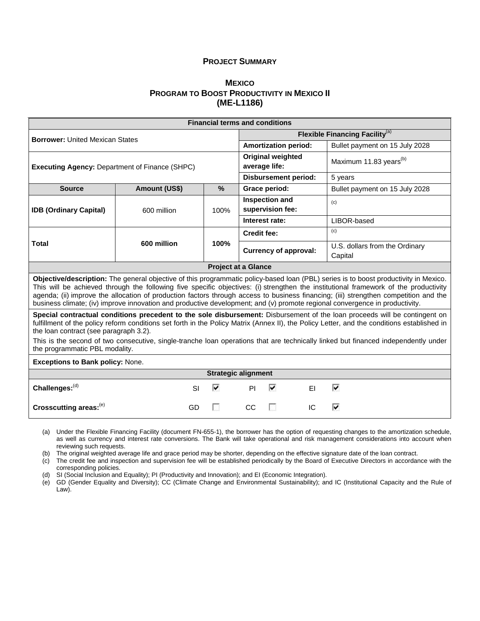#### **PROJECT SUMMARY**

### **[MEXICO](#page-0-0) [PROGRAM TO BOOST PRODUCTIVITY IN MEXICO II](#page-0-1) [\(ME-L1186\)](#page-0-2)**

|                                                                                                                                                                                                                                                                                                                                                                                                                                                                                                                                                     |                     | <b>Financial terms and conditions</b> |                    |                                           |                              |                                           |
|-----------------------------------------------------------------------------------------------------------------------------------------------------------------------------------------------------------------------------------------------------------------------------------------------------------------------------------------------------------------------------------------------------------------------------------------------------------------------------------------------------------------------------------------------------|---------------------|---------------------------------------|--------------------|-------------------------------------------|------------------------------|-------------------------------------------|
| <b>Borrower: United Mexican States</b>                                                                                                                                                                                                                                                                                                                                                                                                                                                                                                              |                     |                                       |                    | <b>Flexible Financing Facility</b> (a)    |                              |                                           |
|                                                                                                                                                                                                                                                                                                                                                                                                                                                                                                                                                     |                     |                                       |                    | <b>Amortization period:</b>               |                              | Bullet payment on 15 July 2028            |
| <b>Executing Agency: Department of Finance (SHPC)</b>                                                                                                                                                                                                                                                                                                                                                                                                                                                                                               |                     |                                       |                    | <b>Original weighted</b><br>average life: |                              | Maximum 11.83 years <sup>(b)</sup>        |
|                                                                                                                                                                                                                                                                                                                                                                                                                                                                                                                                                     |                     |                                       |                    |                                           | <b>Disbursement period:</b>  | 5 years                                   |
| <b>Source</b>                                                                                                                                                                                                                                                                                                                                                                                                                                                                                                                                       | Amount (US\$)       | $\%$                                  |                    | Grace period:                             |                              | Bullet payment on 15 July 2028            |
| <b>IDB (Ordinary Capital)</b>                                                                                                                                                                                                                                                                                                                                                                                                                                                                                                                       | 600 million         | 100%                                  |                    | Inspection and<br>supervision fee:        |                              | (c)                                       |
|                                                                                                                                                                                                                                                                                                                                                                                                                                                                                                                                                     |                     |                                       |                    | Interest rate:                            |                              | LIBOR-based                               |
|                                                                                                                                                                                                                                                                                                                                                                                                                                                                                                                                                     |                     |                                       | <b>Credit fee:</b> |                                           |                              | (c)                                       |
| <b>Total</b>                                                                                                                                                                                                                                                                                                                                                                                                                                                                                                                                        | 600 million         | 100%                                  |                    |                                           | <b>Currency of approval:</b> | U.S. dollars from the Ordinary<br>Capital |
| <b>Project at a Glance</b>                                                                                                                                                                                                                                                                                                                                                                                                                                                                                                                          |                     |                                       |                    |                                           |                              |                                           |
| Objective/description: The general objective of this programmatic policy-based loan (PBL) series is to boost productivity in Mexico.<br>This will be achieved through the following five specific objectives: (i) strengthen the institutional framework of the productivity<br>agenda; (ii) improve the allocation of production factors through access to business financing; (iii) strengthen competition and the<br>business climate; (iv) improve innovation and productive development; and (v) promote regional convergence in productivity. |                     |                                       |                    |                                           |                              |                                           |
| Special contractual conditions precedent to the sole disbursement: Disbursement of the loan proceeds will be contingent on<br>fulfillment of the policy reform conditions set forth in the Policy Matrix (Annex II), the Policy Letter, and the conditions established in<br>the loan contract (see paragraph 3.2).<br>This is the second of two consecutive, single-tranche loan operations that are technically linked but financed independently under                                                                                           |                     |                                       |                    |                                           |                              |                                           |
| the programmatic PBL modality.                                                                                                                                                                                                                                                                                                                                                                                                                                                                                                                      |                     |                                       |                    |                                           |                              |                                           |
| <b>Exceptions to Bank policy: None.</b>                                                                                                                                                                                                                                                                                                                                                                                                                                                                                                             |                     |                                       |                    |                                           |                              |                                           |
| <b>Strategic alignment</b>                                                                                                                                                                                                                                                                                                                                                                                                                                                                                                                          |                     |                                       |                    |                                           |                              |                                           |
| Challenges:(d)                                                                                                                                                                                                                                                                                                                                                                                                                                                                                                                                      | <b>SI</b>           | ⊽                                     | PI                 | ⊽                                         | EI                           | ⊽                                         |
| Crosscutting areas:(e)                                                                                                                                                                                                                                                                                                                                                                                                                                                                                                                              | ⊽<br>GD<br>CC<br>IC |                                       |                    |                                           |                              |                                           |

(a) Under the Flexible Financing Facility (document FN-655-1), the borrower has the option of requesting changes to the amortization schedule, as well as currency and interest rate conversions. The Bank will take operational and risk management considerations into account when reviewing such requests.

(b) The original weighted average life and grace period may be shorter, depending on the effective signature date of the loan contract.

(c) The credit fee and inspection and supervision fee will be established periodically by the Board of Executive Directors in accordance with the corresponding policies.

(d) SI (Social Inclusion and Equality); PI (Productivity and Innovation); and EI (Economic Integration).

(e) GD (Gender Equality and Diversity); CC (Climate Change and Environmental Sustainability); and IC (Institutional Capacity and the Rule of Law).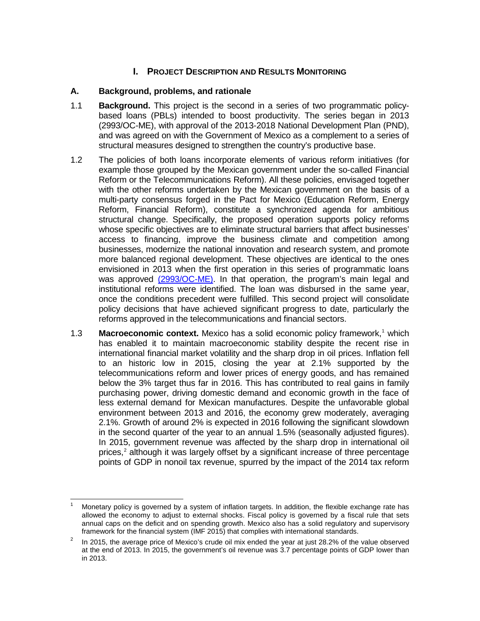## **I. PROJECT DESCRIPTION AND RESULTS MONITORING**

### **A. Background, problems, and rationale**

- 1.1 **Background.** This project is the second in a series of two programmatic policybased loans (PBLs) intended to boost productivity. The series began in 2013 (2993/OC-ME), with approval of the 2013-2018 National Development Plan (PND), and was agreed on with the Government of Mexico as a complement to a series of structural measures designed to strengthen the country's productive base.
- 1.2 The policies of both loans incorporate elements of various reform initiatives (for example those grouped by the Mexican government under the so-called Financial Reform or the Telecommunications Reform). All these policies, envisaged together with the other reforms undertaken by the Mexican government on the basis of a multi-party consensus forged in the Pact for Mexico (Education Reform, Energy Reform, Financial Reform), constitute a synchronized agenda for ambitious structural change. Specifically, the proposed operation supports policy reforms whose specific objectives are to eliminate structural barriers that affect businesses' access to financing, improve the business climate and competition among businesses, modernize the national innovation and research system, and promote more balanced regional development. These objectives are identical to the ones envisioned in 2013 when the first operation in this series of programmatic loans was approved [\(2993/OC-ME\).](http://idbdocs.iadb.org/wsdocs/getDocument.aspx?DOCNUM=39754717) In that operation, the program's main legal and institutional reforms were identified. The loan was disbursed in the same year, once the conditions precedent were fulfilled. This second project will consolidate policy decisions that have achieved significant progress to date, particularly the reforms approved in the telecommunications and financial sectors.
- [1](#page-5-0).3 **Macroeconomic context.** Mexico has a solid economic policy framework,<sup>1</sup> which has enabled it to maintain macroeconomic stability despite the recent rise in international financial market volatility and the sharp drop in oil prices. Inflation fell to an historic low in 2015, closing the year at 2.1% supported by the telecommunications reform and lower prices of energy goods, and has remained below the 3% target thus far in 2016. This has contributed to real gains in family purchasing power, driving domestic demand and economic growth in the face of less external demand for Mexican manufactures. Despite the unfavorable global environment between 2013 and 2016, the economy grew moderately, averaging 2.1%. Growth of around 2% is expected in 2016 following the significant slowdown in the second quarter of the year to an annual 1.5% (seasonally adjusted figures). In 2015, government revenue was affected by the sharp drop in international oil prices, $<sup>2</sup>$  $<sup>2</sup>$  $<sup>2</sup>$  although it was largely offset by a significant increase of three percentage</sup> points of GDP in nonoil tax revenue, spurred by the impact of the 2014 tax reform

<span id="page-5-0"></span>Monetary policy is governed by a system of inflation targets. In addition, the flexible exchange rate has allowed the economy to adjust to external shocks. Fiscal policy is governed by a fiscal rule that sets annual caps on the deficit and on spending growth. Mexico also has a solid regulatory and supervisory framework for the financial system (IMF 2015) that complies with international standards.  $\overline{\phantom{a}}$ 

<span id="page-5-1"></span><sup>2</sup> In 2015, the average price of Mexico's crude oil mix ended the year at just 28.2% of the value observed at the end of 2013. In 2015, the government's oil revenue was 3.7 percentage points of GDP lower than in 2013.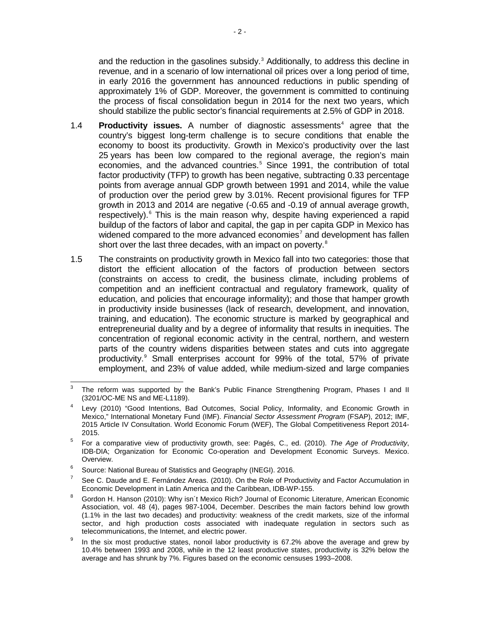and the reduction in the gasolines subsidy.<sup>[3](#page-6-0)</sup> Additionally, to address this decline in revenue, and in a scenario of low international oil prices over a long period of time, in early 2016 the government has announced reductions in public spending of approximately 1% of GDP. Moreover, the government is committed to continuing the process of fiscal consolidation begun in 2014 for the next two years, which should stabilize the public sector's financial requirements at 2.5% of GDP in 2018.

- 1.[4](#page-6-1) **Productivity issues.** A number of diagnostic assessments<sup>4</sup> agree that the country's biggest long-term challenge is to secure conditions that enable the economy to boost its productivity. Growth in Mexico's productivity over the last 25 years has been low compared to the regional average, the region's main economies, and the advanced countries.<sup>[5](#page-6-2)</sup> Since 1991, the contribution of total factor productivity (TFP) to growth has been negative, subtracting 0.33 percentage points from average annual GDP growth between 1991 and 2014, while the value of production over the period grew by 3.01%. Recent provisional figures for TFP growth in 2013 and 2014 are negative (-0.65 and -0.19 of annual average growth, respectively).<sup>[6](#page-6-3)</sup> This is the main reason why, despite having experienced a rapid buildup of the factors of labor and capital, the gap in per capita GDP in Mexico has widened compared to the more advanced economies<sup>[7](#page-6-4)</sup> and development has fallen short over the last three decades, with an impact on poverty.<sup>[8](#page-6-5)</sup>
- 1.5 The constraints on productivity growth in Mexico fall into two categories: those that distort the efficient allocation of the factors of production between sectors (constraints on access to credit, the business climate, including problems of competition and an inefficient contractual and regulatory framework, quality of education, and policies that encourage informality); and those that hamper growth in productivity inside businesses (lack of research, development, and innovation, training, and education). The economic structure is marked by geographical and entrepreneurial duality and by a degree of informality that results in inequities. The concentration of regional economic activity in the central, northern, and western parts of the country widens disparities between states and cuts into aggregate productivity.[9](#page-6-6) Small enterprises account for 99% of the total, 57% of private employment, and 23% of value added, while medium-sized and large companies

<span id="page-6-0"></span>The reform was supported by the Bank's Public Finance Strengthening Program, Phases I and II (3201/OC-ME NS and ME-L1189).  $\overline{a}$ 

<span id="page-6-1"></span>Levy (2010) "Good Intentions, Bad Outcomes, Social Policy, Informality, and Economic Growth in Mexico," International Monetary Fund (IMF). *Financial Sector Assessment Program* (FSAP), 2012; IMF, 2015 Article IV Consultation. World Economic Forum (WEF), The Global Competitiveness Report 2014- 2015.

<span id="page-6-2"></span><sup>5</sup> For a comparative view of productivity growth, see: Pagés, C., ed. (2010). *The Age of Productivity*, IDB-DIA; [Organization for Economic Co-operation and De](http://www.oecd.org/economy/surveys/Mexico-Overview-2015%20Spanish.pdf)velopment Economic Surveys. Mexico. Overview.

<span id="page-6-3"></span><sup>&</sup>lt;sup>6</sup> [Source: National Bureau of Statistics and Geography \(INEGI\). 2016.](http://www.inegi.org.mx/est/contenidos/proyectos/cn/ptf/)

<span id="page-6-4"></span> $7$  See C. Daude and E. Fernández Areas. (2010). On the Role of Productivity and Factor Accumulation in Economic Development in Latin America and the Caribbean, IDB-WP-155.

<span id="page-6-5"></span><sup>8</sup> Gordon H. [Hanson \(2010\):](http://www.nber.org/papers/w16470.pdf) Why isn´t Mexico Rich? Journal of Economic Literature, American Economic Association, vol. 48 (4), pages 987-1004, December. Describes the main factors behind low growth (1.1% in the last two decades) and productivity: weakness of the credit markets, size of the informal sector, and high production costs associated with inadequate regulation in sectors such as telecommunications, the Internet, and electric power.

<span id="page-6-6"></span> $9$  In the six most productive states, nonoil labor productivity is 67.2% above the average and grew by 10.4% between 1993 and 2008, while in the 12 least productive states, productivity is 32% below the average and has shrunk by 7%. Figures based on the economic censuses 1993–2008.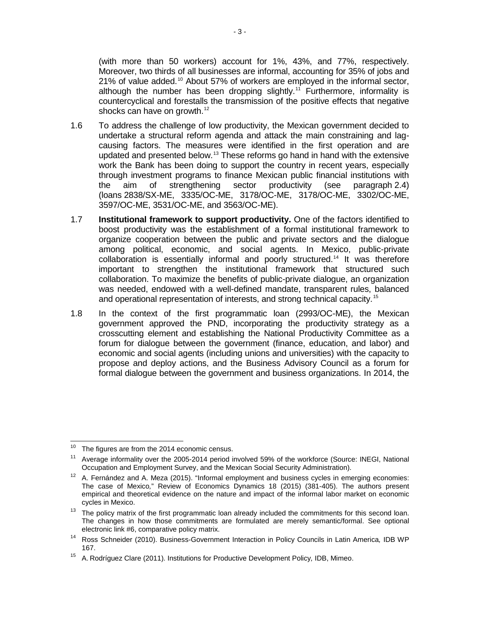(with more than 50 workers) account for 1%, 43%, and 77%, respectively. Moreover, two thirds of all businesses are informal, accounting for 35% of jobs and 21% of value added.[10](#page-7-0) About 57% of workers are employed in the informal sector, although the number has been dropping slightly.<sup>[11](#page-7-1)</sup> Furthermore, informality is countercyclical and forestalls the transmission of the positive effects that negative shocks can have on growth.<sup>[12](#page-7-2)</sup>

- 1.6 To address the challenge of low productivity, the Mexican government decided to undertake a structural reform agenda and attack the main constraining and lagcausing factors. The measures were identified in the first operation and are updated and presented below.<sup>[13](#page-7-3)</sup> These reforms go hand in hand with the extensive work the Bank has been doing to support the country in recent years, especially through investment programs to finance Mexican public financial institutions with the aim of strengthening sector productivity (see paragraph 2.4) (loans 2838/SX-ME, 3335/OC-ME, 3178/OC-ME, 3178/OC-ME, 3302/OC-ME, 3597/OC-ME, 3531/OC-ME, and 3563/OC-ME).
- 1.7 **Institutional framework to support productivity.** One of the factors identified to boost productivity was the establishment of a formal institutional framework to organize cooperation between the public and private sectors and the dialogue among political, economic, and social agents. In Mexico, public-private collaboration is essentially informal and poorly structured.[14](#page-7-4) It was therefore important to strengthen the institutional framework that structured such collaboration. To maximize the benefits of public-private dialogue, an organization was needed, endowed with a well-defined mandate, transparent rules, balanced and operational representation of interests, and strong technical capacity.<sup>[15](#page-7-5)</sup>
- 1.8 In the context of the first programmatic loan (2993/OC-ME), the Mexican government approved the PND, incorporating the productivity strategy as a crosscutting element and establishing the National Productivity Committee as a forum for dialogue between the government (finance, education, and labor) and economic and social agents (including unions and universities) with the capacity to propose and deploy actions, and the Business Advisory Council as a forum for formal dialogue between the government and business organizations. In 2014, the

<span id="page-7-0"></span>The figures are from the 2014 economic census.  $10$ 

<span id="page-7-1"></span><sup>&</sup>lt;sup>11</sup> Average informality over the 2005-2014 period involved 59% of the workforce (Source: INEGI, National Occupation and Employment Survey, and the Mexican Social Security Administration).

<span id="page-7-2"></span> $12$  A. Fernández and A. Meza (2015). "Informal employment and business cycles in emerging economies: The case of Mexico*,*" [Review of Economics Dynamics 18 \(2015\) \(381-405\).](http://ac.els-cdn.com/S1094202514000416/1-s2.0-S1094202514000416-main.pdf?_tid=a6675f6a-cf67-11e5-a42b-00000aacb35f&acdnat=1455048158_d5755060edf76f3f6d043465b81980a9) The authors present empirical and theoretical evidence on the nature and impact of the informal labor market on economic cycles in Mexico.

<span id="page-7-3"></span><sup>&</sup>lt;sup>13</sup> The policy matrix of the first programmatic loan already included the commitments for this second loan. The changes in how those commitments are formulated are merely semantic/formal. See optional electronic link #6, comparative policy matrix.

<span id="page-7-4"></span><sup>14</sup> Ross Schneider (2010). Business-Government Interaction in Policy Councils in Latin America*,* IDB WP 167.

<span id="page-7-5"></span><sup>15</sup> A. Rodríguez Clare (2011). Institutions for Productive Development Policy*,* IDB, Mimeo.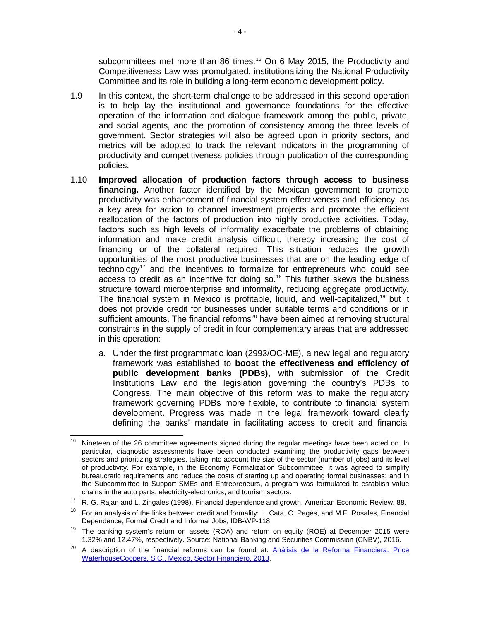subcommittees met more than 86 times.<sup>[16](#page-8-0)</sup> On 6 May 2015, the Productivity and Competitiveness Law was promulgated, institutionalizing the National Productivity Committee and its role in building a long-term economic development policy.

- 1.9 In this context, the short-term challenge to be addressed in this second operation is to help lay the institutional and governance foundations for the effective operation of the information and dialogue framework among the public, private, and social agents, and the promotion of consistency among the three levels of government. Sector strategies will also be agreed upon in priority sectors, and metrics will be adopted to track the relevant indicators in the programming of productivity and competitiveness policies through publication of the corresponding policies.
- 1.10 **Improved allocation of production factors through access to business financing.** Another factor identified by the Mexican government to promote productivity was enhancement of financial system effectiveness and efficiency, as a key area for action to channel investment projects and promote the efficient reallocation of the factors of production into highly productive activities. Today, factors such as high levels of informality exacerbate the problems of obtaining information and make credit analysis difficult, thereby increasing the cost of financing or of the collateral required. This situation reduces the growth opportunities of the most productive businesses that are on the leading edge of  $technology<sup>17</sup>$  $technology<sup>17</sup>$  $technology<sup>17</sup>$  and the incentives to formalize for entrepreneurs who could see access to credit as an incentive for doing so. [18](#page-8-2) This further skews the business structure toward microenterprise and informality, reducing aggregate productivity. The financial system in Mexico is profitable, liquid, and well-capitalized,<sup>[19](#page-8-3)</sup> but it does not provide credit for businesses under suitable terms and conditions or in sufficient amounts. The financial reforms $^{20}$  $^{20}$  $^{20}$  have been aimed at removing structural constraints in the supply of credit in four complementary areas that are addressed in this operation:
	- a. Under the first programmatic loan (2993/OC-ME), a new legal and regulatory framework was established to **boost the effectiveness and efficiency of public development banks (PDBs),** with submission of the Credit Institutions Law and the legislation governing the country's PDBs to Congress. The main objective of this reform was to make the regulatory framework governing PDBs more flexible, to contribute to financial system development. Progress was made in the legal framework toward clearly defining the banks' mandate in facilitating access to credit and financial

<span id="page-8-0"></span>Nineteen of the 26 committee agreements signed during the regular meetings have been acted on. In particular, diagnostic assessments have been conducted examining the productivity gaps between sectors and prioritizing strategies, taking into account the size of the sector (number of jobs) and its level of productivity. For example, in the Economy Formalization Subcommittee, it was agreed to simplify bureaucratic requirements and reduce the costs of starting up and operating formal businesses; and in the Subcommittee to Support SMEs and Entrepreneurs, a program was formulated to establish value<br>chains in the auto parts, electricity-electronics, and tourism sectors.  $16$ 

<span id="page-8-1"></span><sup>&</sup>lt;sup>17</sup> R. G. Rajan and L. Zingales (1998). Financial dependence and growth, American Economic Review, 88.<br><sup>18</sup> For an analysis of the links between credit and formality: L. Cata, C. Pagés, and M.F. Rosales, Financial

<span id="page-8-2"></span>Dependence, Formal Credit and Informal Jobs*,* IDB-WP-118.

<span id="page-8-3"></span><sup>&</sup>lt;sup>19</sup> The banking system's return on assets (ROA) and return on equity (ROE) at December 2015 were<br>1.32% and 12.47%, respectively. Source: National Banking and Securities Commission (CNBV), 2016.

<span id="page-8-4"></span><sup>&</sup>lt;sup>20</sup> A description of the financial reforms can be found at: Análisis de la Reforma Financiera. Price [WaterhouseCoopers, S.C., Mexico, Sector Financiero, 2013.](http://www.pwc.com/mx/es/industrias/archivo/2013-11-boletin-reforma-financiera.pdf)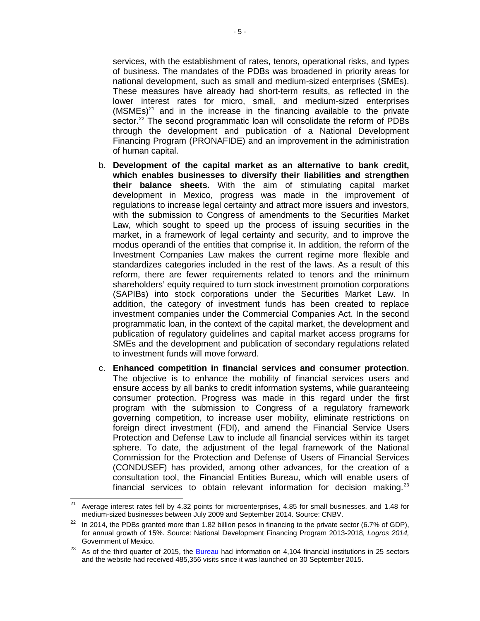services, with the establishment of rates, tenors, operational risks, and types of business. The mandates of the PDBs was broadened in priority areas for national development, such as small and medium-sized enterprises (SMEs). These measures have already had short-term results, as reflected in the lower interest rates for micro, small, and medium-sized enterprises  $(MSMEs)^{21}$  $(MSMEs)^{21}$  $(MSMEs)^{21}$  and in the increase in the financing available to the private sector.<sup>22</sup> The second programmatic loan will consolidate the reform of PDBs through the development and publication of a National Development Financing Program (PRONAFIDE) and an improvement in the administration of human capital.

- b. **Development of the capital market as an alternative to bank credit, which enables businesses to diversify their liabilities and strengthen their balance sheets.** With the aim of stimulating capital market development in Mexico, progress was made in the improvement of regulations to increase legal certainty and attract more issuers and investors, with the submission to Congress of amendments to the Securities Market Law, which sought to speed up the process of issuing securities in the market, in a framework of legal certainty and security, and to improve the modus operandi of the entities that comprise it. In addition, the reform of the Investment Companies Law makes the current regime more flexible and standardizes categories included in the rest of the laws. As a result of this reform, there are fewer requirements related to tenors and the minimum shareholders' equity required to turn stock investment promotion corporations (SAPIBs) into stock corporations under the Securities Market Law. In addition, the category of investment funds has been created to replace investment companies under the Commercial Companies Act. In the second programmatic loan, in the context of the capital market, the development and publication of regulatory guidelines and capital market access programs for SMEs and the development and publication of secondary regulations related to investment funds will move forward.
- c. **Enhanced competition in financial services and consumer protection**. The objective is to enhance the mobility of financial services users and ensure access by all banks to credit information systems, while guaranteeing consumer protection. Progress was made in this regard under the first program with the submission to Congress of a regulatory framework governing competition, to increase user mobility, eliminate restrictions on foreign direct investment (FDI), and amend the Financial Service Users Protection and Defense Law to include all financial services within its target sphere. To date, the adjustment of the legal framework of the National Commission for the Protection and Defense of Users of Financial Services (CONDUSEF) has provided, among other advances, for the creation of a consultation tool, the Financial Entities Bureau, which will enable users of financial services to obtain relevant information for decision making. $23$

<span id="page-9-0"></span><sup>21</sup> Average interest rates fell by 4.32 points for microenterprises, 4.85 for small businesses, and 1.48 for medium-sized businesses between July 2009 and September 2014. Source: CNBV.  $21$ 

<span id="page-9-1"></span> $22$  In 2014, the PDBs granted more than 1.82 billion pesos in financing to the private sector (6.7% of GDP), for annual growth of 15%. Source: National Development Financing Program 2013-2018*, Logros 2014,* Government of Mexico.

<span id="page-9-2"></span><sup>&</sup>lt;sup>23</sup> As of the third quarter of 2015, the **Bureau** had information on 4,104 financial institutions in 25 sectors and the website had received 485,356 visits since it was launched on 30 September 2015.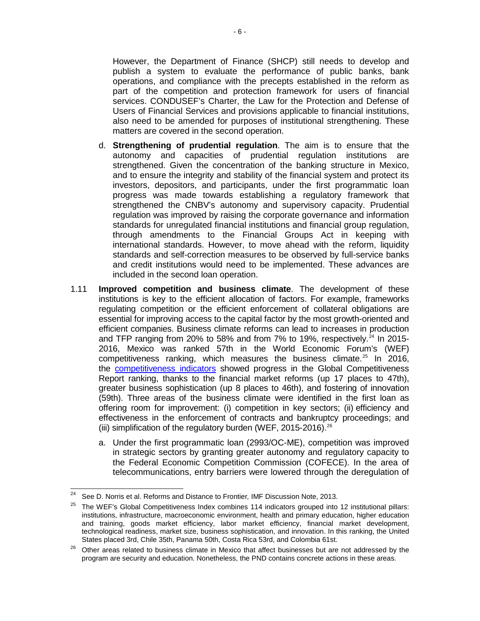However, the Department of Finance (SHCP) still needs to develop and publish a system to evaluate the performance of public banks, bank operations, and compliance with the precepts established in the reform as part of the competition and protection framework for users of financial services. CONDUSEF's Charter, the Law for the Protection and Defense of Users of Financial Services and provisions applicable to financial institutions, also need to be amended for purposes of institutional strengthening. These matters are covered in the second operation.

- d. **Strengthening of prudential regulation**. The aim is to ensure that the autonomy and capacities of prudential regulation institutions are strengthened. Given the concentration of the banking structure in Mexico, and to ensure the integrity and stability of the financial system and protect its investors, depositors, and participants, under the first programmatic loan progress was made towards establishing a regulatory framework that strengthened the CNBV's autonomy and supervisory capacity. Prudential regulation was improved by raising the corporate governance and information standards for unregulated financial institutions and financial group regulation, through amendments to the Financial Groups Act in keeping with international standards. However, to move ahead with the reform, liquidity standards and self-correction measures to be observed by full-service banks and credit institutions would need to be implemented. These advances are included in the second loan operation.
- 1.11 **Improved competition and business climate**. The development of these institutions is key to the efficient allocation of factors. For example, frameworks regulating competition or the efficient enforcement of collateral obligations are essential for improving access to the capital factor by the most growth-oriented and efficient companies. Business climate reforms can lead to increases in production and TFP ranging from 20% to 58% and from  $7\%$  to 19%, respectively.<sup>[24](#page-10-0)</sup> In 2015-2016, Mexico was ranked 57th in the World Economic Forum's (WEF) competitiveness ranking, which measures the business climate.[25](#page-10-1) In 2016, the **competitiveness indicators** showed progress in the Global Competitiveness Report ranking, thanks to the financial market reforms (up 17 places to 47th), greater business sophistication (up 8 places to 46th), and fostering of innovation (59th). Three areas of the business climate were identified in the first loan as offering room for improvement: (i) competition in key sectors; (ii) efficiency and effectiveness in the enforcement of contracts and bankruptcy proceedings; and (iii) simplification of the regulatory burden (WEF,  $2015-2016$ )<sup>[26](#page-10-2)</sup>
	- a. Under the first programmatic loan (2993/OC-ME), competition was improved in strategic sectors by granting greater autonomy and regulatory capacity to the Federal Economic Competition Commission (COFECE). In the area of telecommunications, entry barriers were lowered through the deregulation of

<span id="page-10-0"></span><sup>&</sup>lt;sup>24</sup> See D. Norris et al. Reforms and Distance to Frontier, IMF Discussion Note, 2013.<br><sup>25</sup> The WEE's Clabel Compatitivances Index combines 114 indicators groundd into  $24\,$ 

<span id="page-10-1"></span><sup>25</sup> The WEF's Global Competitiveness Index combines 114 indicators grouped into 12 institutional pillars: institutions, infrastructure, macroeconomic environment, health and primary education, higher education and training, goods market efficiency, labor market efficiency, financial market development, technological readiness, market size, business sophistication, and innovation. In this ranking, the United States placed 3rd, Chile 35th, Panama 50th, Costa Rica 53rd, and Colombia 61st.

<span id="page-10-2"></span><sup>&</sup>lt;sup>26</sup> Other areas related to business climate in Mexico that affect businesses but are not addressed by the program are security and education. Nonetheless, the PND contains concrete actions in these areas.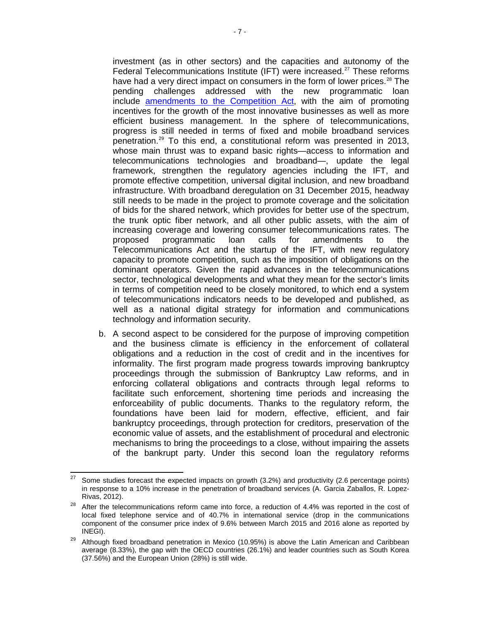investment (as in other sectors) and the capacities and autonomy of the Federal Telecommunications Institute (IFT) were increased.<sup>[27](#page-11-0)</sup> These reforms have had a very direct impact on consumers in the form of lower prices.<sup>[28](#page-11-1)</sup> The pending challenges addressed with the new programmatic loan include [amendments to the Competition Act,](http://www.dof.gob.mx/nota_detalle.php?codigo=5242430&fecha=09/04/2012) with the aim of promoting incentives for the growth of the most innovative businesses as well as more efficient business management. In the sphere of telecommunications, progress is still needed in terms of fixed and mobile broadband services penetration.<sup>[29](#page-11-2)</sup> To this end, a constitutional reform was presented in 2013, whose main thrust was to expand basic rights—access to information and telecommunications technologies and broadband—, update the legal framework, strengthen the regulatory agencies including the IFT, and promote effective competition, universal digital inclusion, and new broadband infrastructure. With broadband deregulation on 31 December 2015, headway still needs to be made in the project to promote coverage and the solicitation of bids for the shared network, which provides for better use of the spectrum, the trunk optic fiber network, and all other public assets, with the aim of increasing coverage and lowering consumer telecommunications rates. The proposed programmatic loan calls for amendments to the Telecommunications Act and the startup of the IFT, with new regulatory capacity to promote competition, such as the imposition of obligations on the dominant operators. Given the rapid advances in the telecommunications sector, technological developments and what they mean for the sector's limits in terms of competition need to be closely monitored, to which end a system of telecommunications indicators needs to be developed and published, as well as a national digital strategy for information and communications technology and information security.

b. A second aspect to be considered for the purpose of improving competition and the business climate is efficiency in the enforcement of collateral obligations and a reduction in the cost of credit and in the incentives for informality. The first program made progress towards improving bankruptcy proceedings through the submission of Bankruptcy Law reforms, and in enforcing collateral obligations and contracts through legal reforms to facilitate such enforcement, shortening time periods and increasing the enforceability of public documents. Thanks to the regulatory reform, the foundations have been laid for modern, effective, efficient, and fair bankruptcy proceedings, through protection for creditors, preservation of the economic value of assets, and the establishment of procedural and electronic mechanisms to bring the proceedings to a close, without impairing the assets of the bankrupt party. Under this second loan the regulatory reforms

<span id="page-11-0"></span>Some studies forecast the expected impacts on growth (3.2%) and productivity (2.6 percentage points) in response to a 10% increase in the penetration of broadband services (A. Garcia Zaballos, R. Lopez-Rivas, 2012). 27

<span id="page-11-1"></span> $28$  After the telecommunications reform came into force, a reduction of 4.4% was reported in the cost of local fixed telephone service and of 40.7% in international service (drop in the communications component of the consumer price index of 9.6% between March 2015 and 2016 alone as reported by INEGI).

<span id="page-11-2"></span> $29$  Although fixed broadband penetration in Mexico (10.95%) is above the Latin American and Caribbean average (8.33%), the gap with the OECD countries (26.1%) and leader countries such as South Korea (37.56%) and the European Union (28%) is still wide.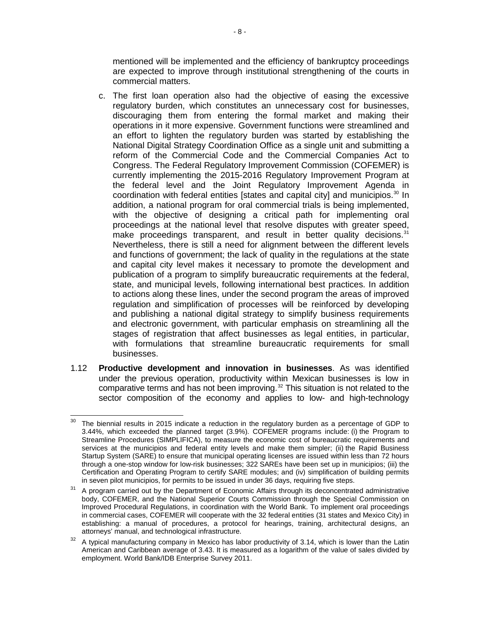mentioned will be implemented and the efficiency of bankruptcy proceedings are expected to improve through institutional strengthening of the courts in commercial matters.

- c. The first loan operation also had the objective of easing the excessive regulatory burden, which constitutes an unnecessary cost for businesses, discouraging them from entering the formal market and making their operations in it more expensive. Government functions were streamlined and an effort to lighten the regulatory burden was started by establishing the National Digital Strategy Coordination Office as a single unit and submitting a reform of the Commercial Code and the Commercial Companies Act to Congress. The Federal Regulatory Improvement Commission (COFEMER) is currently implementing the 2015-2016 Regulatory Improvement Program at the federal level and the Joint Regulatory Improvement Agenda in coordination with federal entities [states and capital city] and municipios. [30](#page-12-0) In addition, a national program for oral commercial trials is being implemented, with the objective of designing a critical path for implementing oral proceedings at the national level that resolve disputes with greater speed, make proceedings transparent, and result in better quality decisions. $31$ Nevertheless, there is still a need for alignment between the different levels and functions of government; the lack of quality in the regulations at the state and capital city level makes it necessary to promote the development and publication of a program to simplify bureaucratic requirements at the federal, state, and municipal levels, following international best practices. In addition to actions along these lines, under the second program the areas of improved regulation and simplification of processes will be reinforced by developing and publishing a national digital strategy to simplify business requirements and electronic government, with particular emphasis on streamlining all the stages of registration that affect businesses as legal entities, in particular, with formulations that streamline bureaucratic requirements for small businesses.
- 1.12 **Productive development and innovation in businesses**. As was identified under the previous operation, productivity within Mexican businesses is low in comparative terms and has not been improving. [32](#page-12-2) This situation is not related to the sector composition of the economy and applies to low- and high-technology

<span id="page-12-0"></span>The biennial results in 2015 indicate a reduction in the regulatory burden as a percentage of GDP to 3.44%, which exceeded the planned target (3.9%). COFEMER programs include: (i) the Program to Streamline Procedures (SIMPLIFICA), to measure the economic cost of bureaucratic requirements and services at the municipios and federal entity levels and make them simpler; (ii) the Rapid Business Startup System (SARE) to ensure that municipal operating licenses are issued within less than 72 hours through a one-stop window for low-risk businesses; 322 SAREs have been set up in municipios; (iii) the Certification and Operating Program to certify SARE modules; and (iv) simplification of building permits in seven pilot municipios, for permits to be issued in under 36 days, requiring five steps. 30

<span id="page-12-1"></span> $31$  A program carried out by the Department of Economic Affairs through its deconcentrated administrative body, COFEMER, and the National Superior Courts Commission through the Special Commission on Improved Procedural Regulations, in coordination with the World Bank. To implement oral proceedings in commercial cases, COFEMER will cooperate with the 32 federal entities (31 states and Mexico City) in establishing: a manual of procedures, a protocol for hearings, training, architectural designs, an attorneys' manual, and technological infrastructure.

<span id="page-12-2"></span> $32$  A typical manufacturing company in Mexico has labor productivity of 3.14, which is lower than the Latin American and Caribbean average of 3.43. It is measured as a logarithm of the value of sales divided by employment. World Bank/IDB Enterprise Survey 2011.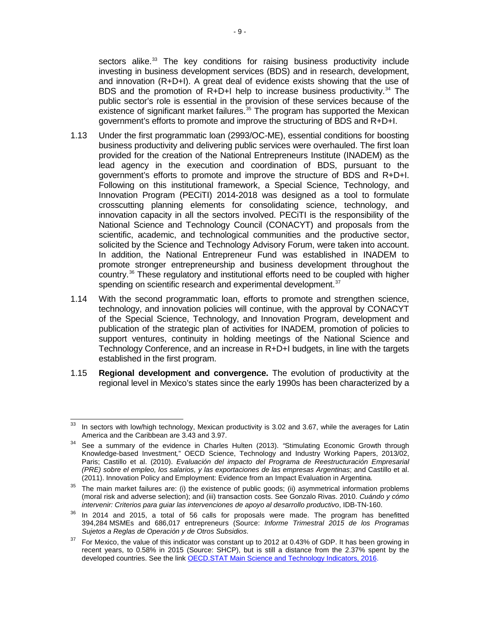sectors alike.<sup>[33](#page-13-0)</sup> The key conditions for raising business productivity include investing in business development services (BDS) and in research, development, and innovation  $(R+D+I)$ . A great deal of evidence exists showing that the use of BDS and the promotion of  $R+D+I$  help to increase business productivity.<sup>[34](#page-13-1)</sup> The public sector's role is essential in the provision of these services because of the existence of significant market failures.<sup>[35](#page-13-2)</sup> The program has supported the Mexican government's efforts to promote and improve the structuring of BDS and R+D+I.

- 1.13 Under the first programmatic loan (2993/OC-ME), essential conditions for boosting business productivity and delivering public services were overhauled. The first loan provided for the creation of the National Entrepreneurs Institute (INADEM) as the lead agency in the execution and coordination of BDS, pursuant to the government's efforts to promote and improve the structure of BDS and R+D+I. Following on this institutional framework, a Special Science, Technology, and Innovation Program (PECiTI) 2014-2018 was designed as a tool to formulate crosscutting planning elements for consolidating science, technology, and innovation capacity in all the sectors involved. PECiTI is the responsibility of the National Science and Technology Council (CONACYT) and proposals from the scientific, academic, and technological communities and the productive sector, solicited by the Science and Technology Advisory Forum, were taken into account. In addition, the National Entrepreneur Fund was established in INADEM to promote stronger entrepreneurship and business development throughout the country.[36](#page-13-3) These regulatory and institutional efforts need to be coupled with higher spending on scientific research and experimental development.<sup>[37](#page-13-4)</sup>
- 1.14 With the second programmatic loan, efforts to promote and strengthen science, technology, and innovation policies will continue, with the approval by CONACYT of the Special Science, Technology, and Innovation Program, development and publication of the strategic plan of activities for INADEM, promotion of policies to support ventures, continuity in holding meetings of the National Science and Technology Conference, and an increase in R+D+I budgets, in line with the targets established in the first program.
- 1.15 **Regional development and convergence.** The evolution of productivity at the regional level in Mexico's states since the early 1990s has been characterized by a

<span id="page-13-0"></span> $33$  In sectors with low/high technology, Mexican productivity is 3.02 and 3.67, while the averages for Latin America and the Caribbean are 3.43 and 3.97.<br>See a summary of the evidence in Charles Hulten (2013). "Stimulating Economic Growth through  $\overline{a}$ 

<span id="page-13-1"></span>Knowledge-based Investment*,*" OECD Science, Technology and Industry Working Papers, 2013/02, Paris; Castillo et al. (2010). *Evaluación del impacto del Programa de Reestructuración Empresarial (PRE) sobre el empleo, los salarios, y las exportaciones de las empresas Argentinas*; and Castillo et al. (2011). Innovation Policy and Employment: Evidence from an Impact Evaluation in Argentina*.*

<span id="page-13-2"></span><sup>&</sup>lt;sup>35</sup> The main market failures are: (i) the existence of public goods; (ii) asymmetrical information problems (moral risk and adverse selection); and (iii) transaction costs. See Gonzalo Rivas. 2010. *Cuándo y cómo intervenir: Criterios para guiar las intervenciones de apoyo al desarrollo productivo*, IDB-TN-160.

<span id="page-13-3"></span><sup>&</sup>lt;sup>36</sup> In 2014 and 2015, a total of 56 calls for proposals were made. The program has benefitted 394,284 MSMEs and 686,017 entrepreneurs (Source: *Informe Trimestral 2015 de los Programas Sujetos a Reglas de Operación y de Otros Subsidios*.

<span id="page-13-4"></span> $37$  For Mexico, the value of this indicator was constant up to 2012 at 0.43% of GDP. It has been growing in recent years, to 0.58% in 2015 (Source: SHCP), but is still a distance from the 2.37% spent by the developed countries. See the lin[k OECD.STAT Main Science and Technology Indicators, 2016.](http://stats.oecd.org/Index.aspx?DataSetCode=MSTI_PUB)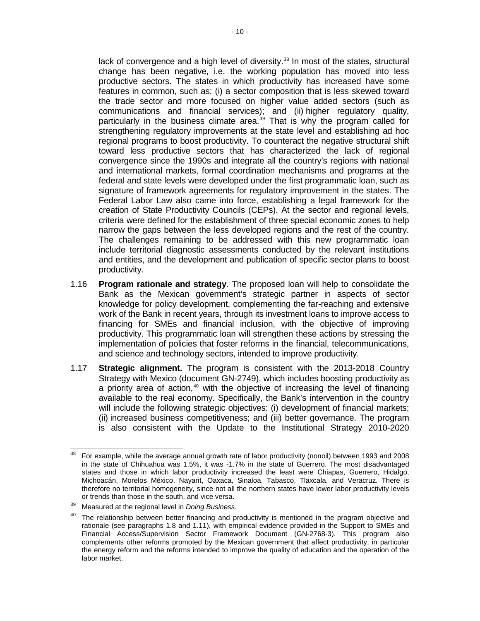lack of convergence and a high level of diversity.<sup>[38](#page-14-0)</sup> In most of the states, structural change has been negative, i.e. the working population has moved into less productive sectors. The states in which productivity has increased have some features in common, such as: (i) a sector composition that is less skewed toward the trade sector and more focused on higher value added sectors (such as communications and financial services); and (ii) higher regulatory quality, particularly in the business climate area. [39](#page-14-1) That is why the program called for strengthening regulatory improvements at the state level and establishing ad hoc regional programs to boost productivity. To counteract the negative structural shift toward less productive sectors that has characterized the lack of regional convergence since the 1990s and integrate all the country's regions with national and international markets, formal coordination mechanisms and programs at the federal and state levels were developed under the first programmatic loan, such as signature of framework agreements for regulatory improvement in the states. The Federal Labor Law also came into force, establishing a legal framework for the creation of State Productivity Councils (CEPs). At the sector and regional levels, criteria were defined for the establishment of three special economic zones to help narrow the gaps between the less developed regions and the rest of the country. The challenges remaining to be addressed with this new programmatic loan include territorial diagnostic assessments conducted by the relevant institutions and entities, and the development and publication of specific sector plans to boost productivity.

- 1.16 **Program rationale and strategy**. The proposed loan will help to consolidate the Bank as the Mexican government's strategic partner in aspects of sector knowledge for policy development, complementing the far-reaching and extensive work of the Bank in recent years, through its investment loans to improve access to financing for SMEs and financial inclusion, with the objective of improving productivity. This programmatic loan will strengthen these actions by stressing the implementation of policies that foster reforms in the financial, telecommunications, and science and technology sectors, intended to improve productivity.
- 1.17 **Strategic alignment.** The program is consistent with the 2013-2018 Country Strategy with Mexico (document GN-2749), which includes boosting productivity as a priority area of action, $40$  with the objective of increasing the level of financing available to the real economy. Specifically, the Bank's intervention in the country will include the following strategic objectives: (i) development of financial markets; (ii) increased business competitiveness; and (iii) better governance. The program is also consistent with the Update to the Institutional Strategy 2010-2020

<span id="page-14-0"></span><sup>38</sup> For example, while the average annual growth rate of labor productivity (nonoil) between 1993 and 2008 in the state of Chihuahua was 1.5%, it was -1.7% in the state of Guerrero. The most disadvantaged states and those in which labor productivity increased the least were Chiapas, Guerrero, Hidalgo, Michoacán, Morelos México, Nayarit, Oaxaca, Sinaloa, Tabasco, Tlaxcala, and Veracruz. There is therefore no territorial homogeneity, since not all the northern states have lower labor productivity levels or trends than those in the south, and vice versa. 38

<span id="page-14-2"></span><span id="page-14-1"></span><sup>&</sup>lt;sup>39</sup> Measured at the regional level in *Doing Business*.<br><sup>40</sup> The relationship between better financing and productivity is mentioned in the program objective and rationale (see paragraphs 1.8 and 1.11), with empirical evidence provided in the Support to SMEs and Financial Access/Supervision Sector Framework Document (GN-2768-3). This program also complements other reforms promoted by the Mexican government that affect productivity, in particular the energy reform and the reforms intended to improve the quality of education and the operation of the labor market.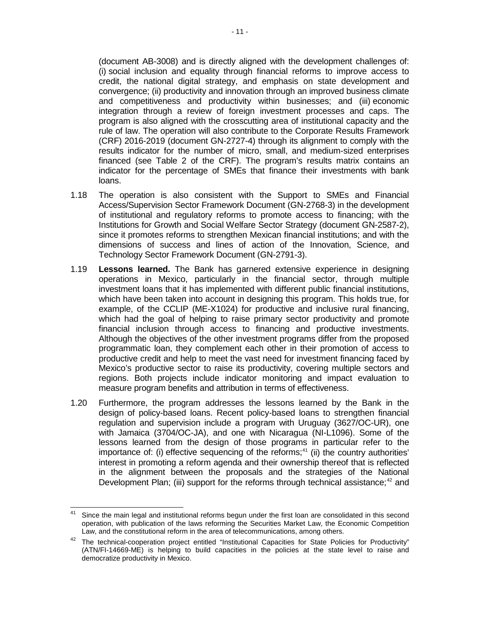(document AB-3008) and is directly aligned with the development challenges of: (i) social inclusion and equality through financial reforms to improve access to credit, the national digital strategy, and emphasis on state development and convergence; (ii) productivity and innovation through an improved business climate and competitiveness and productivity within businesses; and (iii) economic integration through a review of foreign investment processes and caps. The program is also aligned with the crosscutting area of institutional capacity and the rule of law. The operation will also contribute to the Corporate Results Framework (CRF) 2016-2019 (document GN-2727-4) through its alignment to comply with the results indicator for the number of micro, small, and medium-sized enterprises financed (see Table 2 of the CRF). The program's results matrix contains an indicator for the percentage of SMEs that finance their investments with bank loans.

- 1.18 The operation is also consistent with the Support to SMEs and Financial Access/Supervision Sector Framework Document (GN-2768-3) in the development of institutional and regulatory reforms to promote access to financing; with the Institutions for Growth and Social Welfare Sector Strategy (document GN-2587-2), since it promotes reforms to strengthen Mexican financial institutions; and with the dimensions of success and lines of action of the Innovation, Science, and Technology Sector Framework Document (GN-2791-3).
- 1.19 **Lessons learned.** The Bank has garnered extensive experience in designing operations in Mexico, particularly in the financial sector, through multiple investment loans that it has implemented with different public financial institutions, which have been taken into account in designing this program. This holds true, for example, of the CCLIP (ME-X1024) for productive and inclusive rural financing, which had the goal of helping to raise primary sector productivity and promote financial inclusion through access to financing and productive investments. Although the objectives of the other investment programs differ from the proposed programmatic loan, they complement each other in their promotion of access to productive credit and help to meet the vast need for investment financing faced by Mexico's productive sector to raise its productivity, covering multiple sectors and regions. Both projects include indicator monitoring and impact evaluation to measure program benefits and attribution in terms of effectiveness.
- 1.20 Furthermore, the program addresses the lessons learned by the Bank in the design of policy-based loans. Recent policy-based loans to strengthen financial regulation and supervision include a program with Uruguay (3627/OC-UR), one with Jamaica (3704/OC-JA), and one with Nicaragua (NI-L1096). Some of the lessons learned from the design of those programs in particular refer to the importance of: (i) effective sequencing of the reforms; $41$  (ii) the country authorities' interest in promoting a reform agenda and their ownership thereof that is reflected in the alignment between the proposals and the strategies of the National Development Plan; (iii) support for the reforms through technical assistance;<sup>[42](#page-15-1)</sup> and

<span id="page-15-0"></span>Since the main legal and institutional reforms begun under the first loan are consolidated in this second operation, with publication of the laws reforming the Securities Market Law, the Economic Competition Law, and the constitutional reform in the area of telecommunications, among others. 41

<span id="page-15-1"></span><sup>&</sup>lt;sup>42</sup> The technical-cooperation project entitled "Institutional Capacities for State Policies for Productivity" (ATN/FI-14669-ME) is helping to build capacities in the policies at the state level to raise and democratize productivity in Mexico.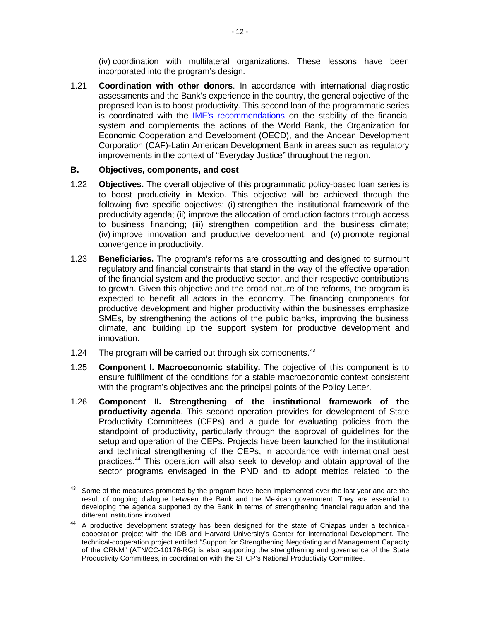(iv) coordination with multilateral organizations. These lessons have been incorporated into the program's design.

1.21 **Coordination with other donors**. In accordance with international diagnostic assessments and the Bank's experience in the country, the general objective of the proposed loan is to boost productivity. This second loan of the programmatic series is coordinated with the [IMF's recommendations](http://www.imf.org/external/pubs/ft/scr/2015/cr15313.pdf) on the stability of the financial system and complements the actions of the World Bank, the Organization for Economic Cooperation and Development (OECD), and the Andean Development Corporation (CAF)-Latin American Development Bank in areas such as regulatory improvements in the context of "Everyday Justice" throughout the region.

#### **B. Objectives, components, and cost**

- 1.22 **Objectives.** The overall objective of this programmatic policy-based loan series is to boost productivity in Mexico. This objective will be achieved through the following five specific objectives: (i) strengthen the institutional framework of the productivity agenda; (ii) improve the allocation of production factors through access to business financing; (iii) strengthen competition and the business climate; (iv) improve innovation and productive development; and (v) promote regional convergence in productivity.
- 1.23 **Beneficiaries.** The program's reforms are crosscutting and designed to surmount regulatory and financial constraints that stand in the way of the effective operation of the financial system and the productive sector, and their respective contributions to growth. Given this objective and the broad nature of the reforms, the program is expected to benefit all actors in the economy. The financing components for productive development and higher productivity within the businesses emphasize SMEs, by strengthening the actions of the public banks, improving the business climate, and building up the support system for productive development and innovation.
- 1.24 The program will be carried out through six components.<sup>[43](#page-16-0)</sup>
- 1.25 **Component I. Macroeconomic stability.** The objective of this component is to ensure fulfillment of the conditions for a stable macroeconomic context consistent with the program's objectives and the principal points of the Policy Letter.
- 1.26 **Component II. Strengthening of the institutional framework of the productivity agenda**. This second operation provides for development of State Productivity Committees (CEPs) and a guide for evaluating policies from the standpoint of productivity, particularly through the approval of guidelines for the setup and operation of the CEPs. Projects have been launched for the institutional and technical strengthening of the CEPs, in accordance with international best practices.[44](#page-16-1) This operation will also seek to develop and obtain approval of the sector programs envisaged in the PND and to adopt metrics related to the

<span id="page-16-0"></span>Some of the measures promoted by the program have been implemented over the last year and are the result of ongoing dialogue between the Bank and the Mexican government. They are essential to developing the agenda supported by the Bank in terms of strengthening financial regulation and the different institutions involved. 43

<span id="page-16-1"></span><sup>&</sup>lt;sup>44</sup> A productive development strategy has been designed for the state of Chiapas under a technicalcooperation project with the IDB and Harvard University's Center for International Development. The technical-cooperation project entitled "Support for Strengthening Negotiating and Management Capacity of the CRNM" (ATN/CC-10176-RG) is also supporting the strengthening and governance of the State Productivity Committees, in coordination with the SHCP's National Productivity Committee.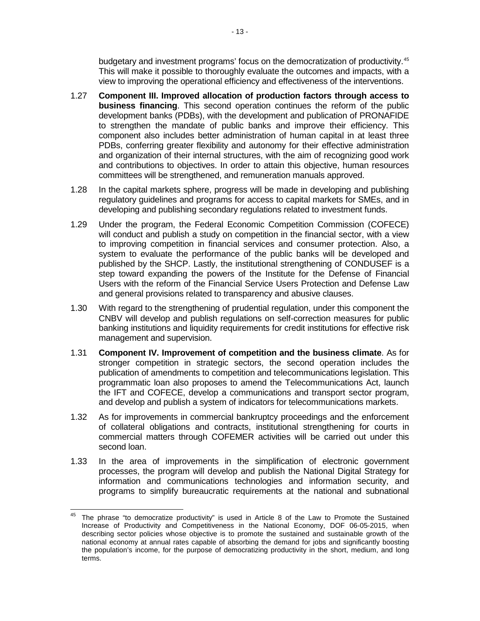budgetary and investment programs' focus on the democratization of productivity. [45](#page-17-0) This will make it possible to thoroughly evaluate the outcomes and impacts, with a view to improving the operational efficiency and effectiveness of the interventions.

- 1.27 **Component III. Improved allocation of production factors through access to business financing**. This second operation continues the reform of the public development banks (PDBs), with the development and publication of PRONAFIDE to strengthen the mandate of public banks and improve their efficiency. This component also includes better administration of human capital in at least three PDBs, conferring greater flexibility and autonomy for their effective administration and organization of their internal structures, with the aim of recognizing good work and contributions to objectives. In order to attain this objective, human resources committees will be strengthened, and remuneration manuals approved.
- 1.28 In the capital markets sphere, progress will be made in developing and publishing regulatory guidelines and programs for access to capital markets for SMEs, and in developing and publishing secondary regulations related to investment funds.
- 1.29 Under the program, the Federal Economic Competition Commission (COFECE) will conduct and publish a study on competition in the financial sector, with a view to improving competition in financial services and consumer protection. Also, a system to evaluate the performance of the public banks will be developed and published by the SHCP. Lastly, the institutional strengthening of CONDUSEF is a step toward expanding the powers of the Institute for the Defense of Financial Users with the reform of the Financial Service Users Protection and Defense Law and general provisions related to transparency and abusive clauses.
- 1.30 With regard to the strengthening of prudential regulation, under this component the CNBV will develop and publish regulations on self-correction measures for public banking institutions and liquidity requirements for credit institutions for effective risk management and supervision.
- 1.31 **Component IV. Improvement of competition and the business climate**. As for stronger competition in strategic sectors, the second operation includes the publication of amendments to competition and telecommunications legislation. This programmatic loan also proposes to amend the Telecommunications Act, launch the IFT and COFECE, develop a communications and transport sector program, and develop and publish a system of indicators for telecommunications markets.
- 1.32 As for improvements in commercial bankruptcy proceedings and the enforcement of collateral obligations and contracts, institutional strengthening for courts in commercial matters through COFEMER activities will be carried out under this second loan.
- 1.33 In the area of improvements in the simplification of electronic government processes, the program will develop and publish the National Digital Strategy for information and communications technologies and information security, and programs to simplify bureaucratic requirements at the national and subnational

<span id="page-17-0"></span> $45$  The phrase "to democratize productivity" is used in Article 8 of the Law to Promote the Sustained Increase of Productivity and Competitiveness in the National Economy, DOF 06-05-2015, when describing sector policies whose objective is to promote the sustained and sustainable growth of the national economy at annual rates capable of absorbing the demand for jobs and significantly boosting the population's income, for the purpose of democratizing productivity in the short, medium, and long terms.  $\overline{\phantom{a}}$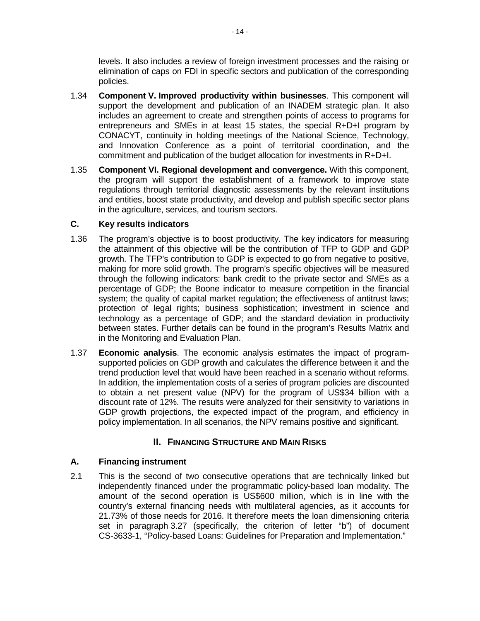levels. It also includes a review of foreign investment processes and the raising or elimination of caps on FDI in specific sectors and publication of the corresponding policies.

- 1.34 **Component V. Improved productivity within businesses**. This component will support the development and publication of an INADEM strategic plan. It also includes an agreement to create and strengthen points of access to programs for entrepreneurs and SMEs in at least 15 states, the special R+D+I program by CONACYT, continuity in holding meetings of the National Science, Technology, and Innovation Conference as a point of territorial coordination, and the commitment and publication of the budget allocation for investments in R+D+I.
- 1.35 **Component VI. Regional development and convergence.** With this component, the program will support the establishment of a framework to improve state regulations through territorial diagnostic assessments by the relevant institutions and entities, boost state productivity, and develop and publish specific sector plans in the agriculture, services, and tourism sectors.

#### **C. Key results indicators**

- 1.36 The program's objective is to boost productivity. The key indicators for measuring the attainment of this objective will be the contribution of TFP to GDP and GDP growth. The TFP's contribution to GDP is expected to go from negative to positive, making for more solid growth. The program's specific objectives will be measured through the following indicators: bank credit to the private sector and SMEs as a percentage of GDP; the Boone indicator to measure competition in the financial system; the quality of capital market regulation; the effectiveness of antitrust laws; protection of legal rights; business sophistication; investment in science and technology as a percentage of GDP; and the standard deviation in productivity between states. Further details can be found in the program's [Results Matrix](http://idbdocs.iadb.org/wsdocs/getDocument.aspx?Docnum=40128295) and in the Monitoring and Evaluation Plan.
- 1.37 **Economic analysis**. The [economic analysis](http://idbdocs.iadb.org/wsdocs/getDocument.aspx?DOCNUM=40125056) estimates the impact of programsupported policies on GDP growth and calculates the difference between it and the trend production level that would have been reached in a scenario without reforms. In addition, the implementation costs of a series of program policies are discounted to obtain a net present value (NPV) for the program of US\$34 billion with a discount rate of 12%. The results were analyzed for their sensitivity to variations in GDP growth projections, the expected impact of the program, and efficiency in policy implementation. In all scenarios, the NPV remains positive and significant.

## **II. FINANCING STRUCTURE AND MAIN RISKS**

### **A. Financing instrument**

2.1 This is the second of two consecutive operations that are technically linked but independently financed under the programmatic policy-based loan modality. The amount of the second operation is US\$600 million, which is in line with the country's external financing needs with multilateral agencies, as it accounts for 21.73% of those needs for 2016. It therefore meets the loan dimensioning criteria set in paragraph 3.27 (specifically, the criterion of letter "b") of document CS-3633-1, "Policy-based Loans: Guidelines for Preparation and Implementation."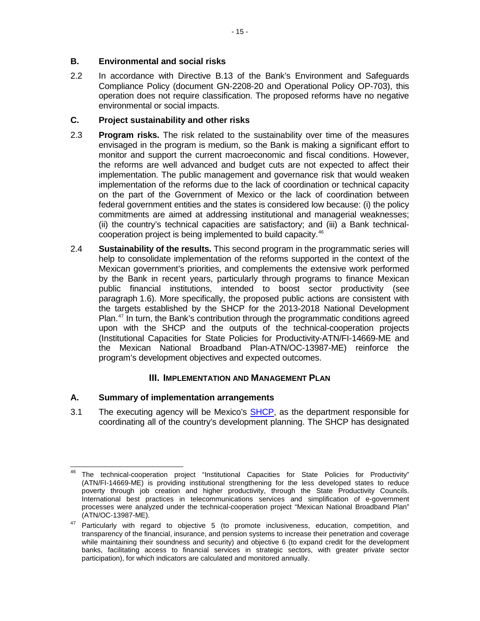### **B. Environmental and social risks**

2.2 In accordance with Directive B.13 of the Bank's Environment and Safeguards Compliance Policy (document GN-2208-20 and Operational Policy OP-703), this operation does not require classification. The proposed reforms have no negative environmental or social impacts.

## **C. Project sustainability and other risks**

- 2.3 **Program risks.** The risk related to the sustainability over time of the measures envisaged in the program is medium, so the Bank is making a significant effort to monitor and support the current macroeconomic and fiscal conditions. However, the reforms are well advanced and budget cuts are not expected to affect their implementation. The public management and governance risk that would weaken implementation of the reforms due to the lack of coordination or technical capacity on the part of the Government of Mexico or the lack of coordination between federal government entities and the states is considered low because: (i) the policy commitments are aimed at addressing institutional and managerial weaknesses; (ii) the country's technical capacities are satisfactory; and (iii) a Bank technicalcooperation project is being implemented to build capacity.[46](#page-19-0)
- 2.4 **Sustainability of the results.** This second program in the programmatic series will help to consolidate implementation of the reforms supported in the context of the Mexican government's priorities, and complements the extensive work performed by the Bank in recent years, particularly through programs to finance Mexican public financial institutions, intended to boost sector productivity (see paragraph 1.6). More specifically, the proposed public actions are consistent with the targets established by the SHCP for the 2013-2018 National Development Plan.<sup>[47](#page-19-1)</sup> In turn, the Bank's contribution through the programmatic conditions agreed upon with the SHCP and the outputs of the technical-cooperation projects (Institutional Capacities for State Policies for Productivity-ATN/FI-14669-ME and the Mexican National Broadband Plan-ATN/OC-13987-ME) reinforce the program's development objectives and expected outcomes.

## **III. IMPLEMENTATION AND MANAGEMENT PLAN**

### **A. Summary of implementation arrangements**

3.1 The executing agency will be Mexico's [SHCP,](http://www.shcp.gob.mx/lashcp/marcojuridico/MarcoJuridicoGlobal/Otros/338_otros_moshcp.pdf) as the department responsible for coordinating all of the country's development planning. The SHCP has designated

<span id="page-19-0"></span><sup>&</sup>lt;sup>46</sup> The technical-cooperation project "Institutional Capacities for State Policies for Productivity" (ATN/FI-14669-ME) is providing institutional strengthening for the less developed states to reduce poverty through job creation and higher productivity, through the State Productivity Councils. International best practices in telecommunications services and simplification of e-government processes were analyzed under the technical-cooperation project "Mexican National Broadband Plan" (ATN/OC-13987-ME).  $\overline{\phantom{a}}$ 

<span id="page-19-1"></span><sup>&</sup>lt;sup>47</sup> Particularly with regard to objective 5 (to promote inclusiveness, education, competition, and transparency of the financial, insurance, and pension systems to increase their penetration and coverage while maintaining their soundness and security) and objective 6 (to expand credit for the development banks, facilitating access to financial services in strategic sectors, with greater private sector participation), for which indicators are calculated and monitored annually.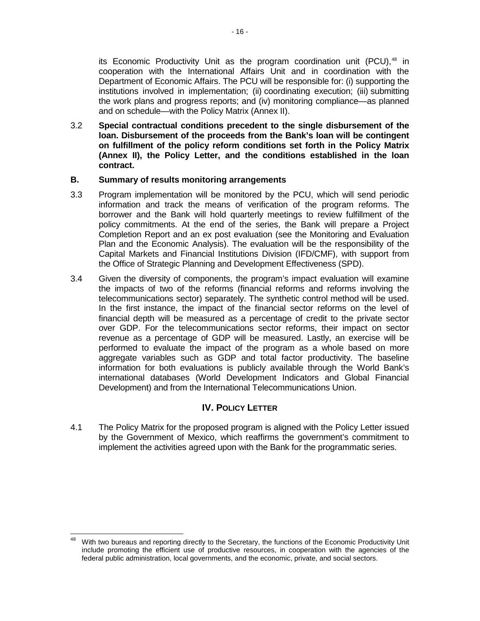its Economic Productivity Unit as the program coordination unit (PCU), $48$  in cooperation with the International Affairs Unit and in coordination with the Department of Economic Affairs. The PCU will be responsible for: (i) supporting the institutions involved in implementation; (ii) coordinating execution; (iii) submitting the work plans and progress reports; and (iv) monitoring compliance—as planned and on schedule—with the Policy Matrix (Annex II).

3.2 **Special contractual conditions precedent to the single disbursement of the loan. Disbursement of the proceeds from the Bank's loan will be contingent on fulfillment of the policy reform conditions set forth in the Policy Matrix (Annex II), the Policy Letter, and the conditions established in the loan contract.**

#### **B. Summary of results monitoring arrangements**

- 3.3 Program implementation will be monitored by the PCU, which will send periodic information and track the means of verification of the program reforms. The borrower and the Bank will hold quarterly meetings to review fulfillment of the policy commitments. At the end of the series, the Bank will prepare a Project Completion Report and an ex post evaluation (see the [Monitoring and Evaluation](http://idbdocs.iadb.org/wsdocs/getDocument.aspx?DOCNUM=40126391)  [Plan](http://idbdocs.iadb.org/wsdocs/getDocument.aspx?DOCNUM=40126391) and the [Economic Analysis\)](http://idbdocs.iadb.org/wsdocs/getDocument.aspx?DOCNUM=40125056). The evaluation will be the responsibility of the Capital Markets and Financial Institutions Division (IFD/CMF), with support from the Office of Strategic Planning and Development Effectiveness (SPD).
- 3.4 Given the diversity of components, the program's impact evaluation will examine the impacts of two of the reforms (financial reforms and reforms involving the telecommunications sector) separately. The synthetic control method will be used. In the first instance, the impact of the financial sector reforms on the level of financial depth will be measured as a percentage of credit to the private sector over GDP. For the telecommunications sector reforms, their impact on sector revenue as a percentage of GDP will be measured. Lastly, an exercise will be performed to evaluate the impact of the program as a whole based on more aggregate variables such as GDP and total factor productivity. The baseline information for both evaluations is publicly available through the World Bank's international databases (World Development Indicators and Global Financial Development) and from the International Telecommunications Union.

### **IV. POLICY LETTER**

4.1 The [Policy Matrix](http://idbdocs.iadb.org/wsdocs/getDocument.aspx?DOCNUM=40136937) for the proposed program is aligned with the [Policy Letter](http://idbdocs.iadb.org/wsdocs/getDocument.aspx?DOCNUM=40277447) issued by the Government of Mexico, which reaffirms the government's commitment to implement the activities agreed upon with the Bank for the programmatic series.

<span id="page-20-0"></span>With two bureaus and reporting directly to the Secretary, the functions of the Economic Productivity Unit include promoting the efficient use of productive resources, in cooperation with the agencies of the federal public administration, local governments, and the economic, private, and social sectors. 48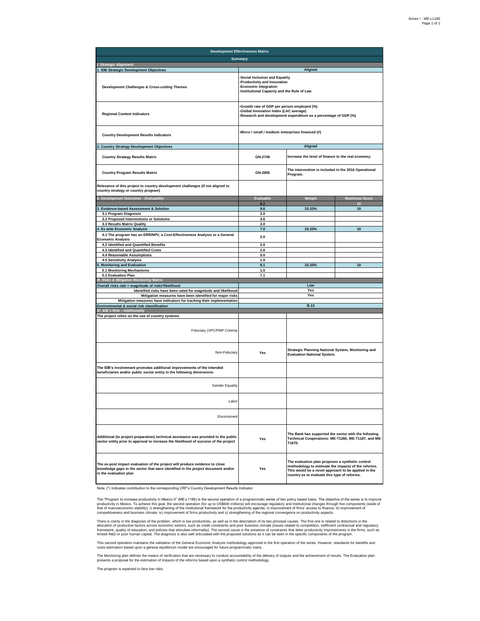| <b>Development Effectiveness Matrix</b>                                                                                                                                                   |                                                                                                                                                        |                                                                                                                                                                                                                |                      |
|-------------------------------------------------------------------------------------------------------------------------------------------------------------------------------------------|--------------------------------------------------------------------------------------------------------------------------------------------------------|----------------------------------------------------------------------------------------------------------------------------------------------------------------------------------------------------------------|----------------------|
| <b>Summarv</b>                                                                                                                                                                            |                                                                                                                                                        |                                                                                                                                                                                                                |                      |
| I. Strategic Alignment<br>1. IDB Strategic Development Objectives                                                                                                                         |                                                                                                                                                        | Aligned                                                                                                                                                                                                        |                      |
| <b>Development Challenges &amp; Cross-cutting Themes</b>                                                                                                                                  | Social Inclusion and Equality<br>Productivity and Innovation<br><b>Economic Integration</b><br>Institutional Capacity and the Rule of Law              |                                                                                                                                                                                                                |                      |
| <b>Regional Context Indicators</b>                                                                                                                                                        | Growth rate of GDP per person employed (%)<br>Global Innovation Index (LAC average)<br>Research and development expenditure as a percentage of GDP (%) |                                                                                                                                                                                                                |                      |
| <b>Country Development Results Indicators</b>                                                                                                                                             | Micro / small / medium enterprises financed (#)                                                                                                        |                                                                                                                                                                                                                |                      |
| 2. Country Strategy Development Objectives                                                                                                                                                |                                                                                                                                                        | Aligned                                                                                                                                                                                                        |                      |
| <b>Country Strategy Results Matrix</b>                                                                                                                                                    | GN-2749                                                                                                                                                | Increase the level of finance to the real economy.                                                                                                                                                             |                      |
| <b>Country Program Results Matrix</b>                                                                                                                                                     | GN-2805                                                                                                                                                | The intervention is included in the 2016 Operational<br>Program.                                                                                                                                               |                      |
| Relevance of this project to country development challenges (If not aligned to<br>country strategy or country program)                                                                    |                                                                                                                                                        |                                                                                                                                                                                                                |                      |
| II. Development Outcomes - Evaluability                                                                                                                                                   | <b>Evaluable</b>                                                                                                                                       | Weight                                                                                                                                                                                                         | <b>Maximum Score</b> |
|                                                                                                                                                                                           | 8.2                                                                                                                                                    |                                                                                                                                                                                                                | 10                   |
| 3. Evidence-based Assessment & Solution                                                                                                                                                   | 9.6                                                                                                                                                    | 33.33%                                                                                                                                                                                                         | 10                   |
| 3.1 Program Diagnosis<br>3.2 Proposed Interventions or Solutions                                                                                                                          | 3.0<br>3.6                                                                                                                                             |                                                                                                                                                                                                                |                      |
| 3.3 Results Matrix Quality                                                                                                                                                                | 3.0                                                                                                                                                    |                                                                                                                                                                                                                |                      |
| 4. Ex ante Economic Analysis                                                                                                                                                              | 7.0                                                                                                                                                    | 33.33%                                                                                                                                                                                                         | 10                   |
| 4.1 The program has an ERR/NPV, a Cost-Effectiveness Analysis or a General<br><b>Economic Analysis</b>                                                                                    | 2.0                                                                                                                                                    |                                                                                                                                                                                                                |                      |
| 4.2 Identified and Quantified Benefits                                                                                                                                                    | 2.0                                                                                                                                                    |                                                                                                                                                                                                                |                      |
| 4.3 Identified and Quantified Costs                                                                                                                                                       | 2.0                                                                                                                                                    |                                                                                                                                                                                                                |                      |
| 4.4 Reasonable Assumptions                                                                                                                                                                | 0.0                                                                                                                                                    |                                                                                                                                                                                                                |                      |
| 4.5 Sensitivity Analysis                                                                                                                                                                  | 1.0                                                                                                                                                    |                                                                                                                                                                                                                | 10                   |
| <b>Monitoring and Evaluation</b><br>5.1 Monitoring Mechanisms                                                                                                                             | 8.1<br>1.0                                                                                                                                             | 33.33%                                                                                                                                                                                                         |                      |
| 5.2 Evaluation Plan                                                                                                                                                                       | 7.1                                                                                                                                                    |                                                                                                                                                                                                                |                      |
| III. Risks & Mitigation Monitoring Matrix                                                                                                                                                 |                                                                                                                                                        |                                                                                                                                                                                                                |                      |
| Overall risks rate = magnitude of risks*likelihood                                                                                                                                        |                                                                                                                                                        | Low                                                                                                                                                                                                            |                      |
| Identified risks have been rated for magnitude and likelihood                                                                                                                             |                                                                                                                                                        | Yes                                                                                                                                                                                                            |                      |
| Mitigation measures have been identified for major risks                                                                                                                                  |                                                                                                                                                        | Yes                                                                                                                                                                                                            |                      |
| Mitigation measures have indicators for tracking their implementation<br>Environmental & social risk classification                                                                       |                                                                                                                                                        | <b>B.13</b>                                                                                                                                                                                                    |                      |
| IV. IDB <sup>'</sup> s Role - Additionality                                                                                                                                               |                                                                                                                                                        |                                                                                                                                                                                                                |                      |
| The project relies on the use of country systems                                                                                                                                          |                                                                                                                                                        |                                                                                                                                                                                                                |                      |
| Fiduciary (VPC/FMP Criteria)                                                                                                                                                              |                                                                                                                                                        |                                                                                                                                                                                                                |                      |
| Strategic Planning National System, Monitoring and<br>Yes<br>Non-Fiduciary<br><b>Evaluation National System.</b>                                                                          |                                                                                                                                                        |                                                                                                                                                                                                                |                      |
| The IDB's involvement promotes additional improvements of the intended<br>beneficiaries and/or public sector entity in the following dimensions:                                          |                                                                                                                                                        |                                                                                                                                                                                                                |                      |
| <b>Gender Equality</b>                                                                                                                                                                    |                                                                                                                                                        |                                                                                                                                                                                                                |                      |
| Labor                                                                                                                                                                                     |                                                                                                                                                        |                                                                                                                                                                                                                |                      |
| Environment                                                                                                                                                                               |                                                                                                                                                        |                                                                                                                                                                                                                |                      |
| Additional (to project preparation) technical assistance was provided to the public<br>sector entity prior to approval to increase the likelihood of success of the project               | Yes                                                                                                                                                    | The Bank has supported the sector with the following<br>Technical Cooperations: ME-T1260, ME-T1187, and ME-<br>T1670.                                                                                          |                      |
| The ex-post impact evaluation of the project will produce evidence to close<br>knowledge gaps in the sector that were identified in the project document and/or<br>in the evaluation plan | Yes                                                                                                                                                    | The evaluation plan proposes a synthetic control<br>methodology to estimate the impacts of the reforms.<br>This would be a novel approach to be applied in the<br>country as to evaluate this type of reforms. |                      |

Note: (\*) Indicates contribution to the corresponding CRF's Country Development Results Indicator.

The "Program to increase productivity in Mexico II" (ME-L1186) is the second operation of a programmatic series of two policy based loans. The objective of the series is to improve<br>productivity in Mexico. To achieve this g

There is clarity in the diagnosis of the problem, which is low productivity, as well as inte description of its two principla causes. The first one is related to distortionas in the ended to distortion inferance in the fi

This second operation maintains the validation of the General Economic Analysis methodology approved in the first operation of the series. However, standards for benefits and<br>costs estimation based upon a general equilibri

The Monitoring plan defines the means of verification that are necessary to conduct accountability of the delivery of outputs and the achievement of results. The Evaluation plan<br>presents a proposal for the estimation of im

The program is expected to face low risks.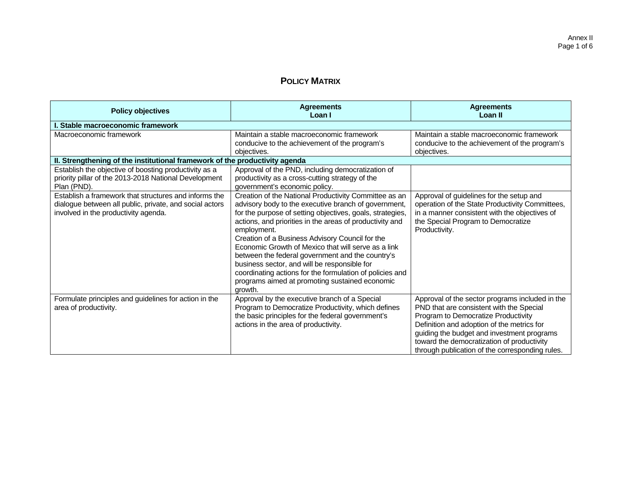## **POLICY MATRIX**

| <b>Policy objectives</b>                                                                                                                                 | <b>Agreements</b><br>Loan I                                                                                                                                                                                                                                                                                                                                                                                                                                                                                                                                                                  | <b>Agreements</b><br>Loan II                                                                                                                                                                                                                                                                                                    |  |  |  |  |
|----------------------------------------------------------------------------------------------------------------------------------------------------------|----------------------------------------------------------------------------------------------------------------------------------------------------------------------------------------------------------------------------------------------------------------------------------------------------------------------------------------------------------------------------------------------------------------------------------------------------------------------------------------------------------------------------------------------------------------------------------------------|---------------------------------------------------------------------------------------------------------------------------------------------------------------------------------------------------------------------------------------------------------------------------------------------------------------------------------|--|--|--|--|
| Stable macroeconomic framework                                                                                                                           |                                                                                                                                                                                                                                                                                                                                                                                                                                                                                                                                                                                              |                                                                                                                                                                                                                                                                                                                                 |  |  |  |  |
| Macroeconomic framework                                                                                                                                  | Maintain a stable macroeconomic framework<br>conducive to the achievement of the program's<br>objectives.                                                                                                                                                                                                                                                                                                                                                                                                                                                                                    | Maintain a stable macroeconomic framework<br>conducive to the achievement of the program's<br>objectives.                                                                                                                                                                                                                       |  |  |  |  |
| II. Strengthening of the institutional framework of the productivity agenda                                                                              |                                                                                                                                                                                                                                                                                                                                                                                                                                                                                                                                                                                              |                                                                                                                                                                                                                                                                                                                                 |  |  |  |  |
| Establish the objective of boosting productivity as a<br>priority pillar of the 2013-2018 National Development<br>Plan (PND).                            | Approval of the PND, including democratization of<br>productivity as a cross-cutting strategy of the<br>government's economic policy.                                                                                                                                                                                                                                                                                                                                                                                                                                                        |                                                                                                                                                                                                                                                                                                                                 |  |  |  |  |
| Establish a framework that structures and informs the<br>dialogue between all public, private, and social actors<br>involved in the productivity agenda. | Creation of the National Productivity Committee as an<br>advisory body to the executive branch of government,<br>for the purpose of setting objectives, goals, strategies,<br>actions, and priorities in the areas of productivity and<br>employment.<br>Creation of a Business Advisory Council for the<br>Economic Growth of Mexico that will serve as a link<br>between the federal government and the country's<br>business sector, and will be responsible for<br>coordinating actions for the formulation of policies and<br>programs aimed at promoting sustained economic<br>growth. | Approval of guidelines for the setup and<br>operation of the State Productivity Committees,<br>in a manner consistent with the objectives of<br>the Special Program to Democratize<br>Productivity.                                                                                                                             |  |  |  |  |
| Formulate principles and guidelines for action in the<br>area of productivity.                                                                           | Approval by the executive branch of a Special<br>Program to Democratize Productivity, which defines<br>the basic principles for the federal government's<br>actions in the area of productivity.                                                                                                                                                                                                                                                                                                                                                                                             | Approval of the sector programs included in the<br>PND that are consistent with the Special<br>Program to Democratize Productivity<br>Definition and adoption of the metrics for<br>guiding the budget and investment programs<br>toward the democratization of productivity<br>through publication of the corresponding rules. |  |  |  |  |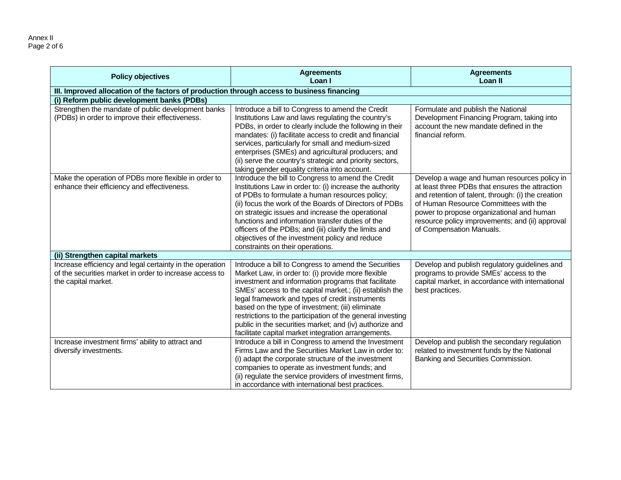Annex II Page 2 of 6

| <b>Policy objectives</b>                                                                                                                   | <b>Agreements</b><br>Loan I                                                                                                                                                                                                                                                                                                                                                                                                                                                                                         | <b>Agreements</b><br>Loan II                                                                                                                                                                                                                                                                                               |  |  |  |
|--------------------------------------------------------------------------------------------------------------------------------------------|---------------------------------------------------------------------------------------------------------------------------------------------------------------------------------------------------------------------------------------------------------------------------------------------------------------------------------------------------------------------------------------------------------------------------------------------------------------------------------------------------------------------|----------------------------------------------------------------------------------------------------------------------------------------------------------------------------------------------------------------------------------------------------------------------------------------------------------------------------|--|--|--|
| III. Improved allocation of the factors of production through access to business financing                                                 |                                                                                                                                                                                                                                                                                                                                                                                                                                                                                                                     |                                                                                                                                                                                                                                                                                                                            |  |  |  |
| (i) Reform public development banks (PDBs)                                                                                                 |                                                                                                                                                                                                                                                                                                                                                                                                                                                                                                                     |                                                                                                                                                                                                                                                                                                                            |  |  |  |
| Strengthen the mandate of public development banks<br>(PDBs) in order to improve their effectiveness.                                      | Introduce a bill to Congress to amend the Credit<br>Institutions Law and laws regulating the country's<br>PDBs, in order to clearly include the following in their<br>mandates: (i) facilitate access to credit and financial<br>services, particularly for small and medium-sized<br>enterprises (SMEs) and agricultural producers; and<br>(ii) serve the country's strategic and priority sectors,<br>taking gender equality criteria into account.                                                               | Formulate and publish the National<br>Development Financing Program, taking into<br>account the new mandate defined in the<br>financial reform.                                                                                                                                                                            |  |  |  |
| Make the operation of PDBs more flexible in order to<br>enhance their efficiency and effectiveness.                                        | Introduce the bill to Congress to amend the Credit<br>Institutions Law in order to: (i) increase the authority<br>of PDBs to formulate a human resources policy;<br>(ii) focus the work of the Boards of Directors of PDBs<br>on strategic issues and increase the operational<br>functions and information transfer duties of the<br>officers of the PDBs; and (iii) clarify the limits and<br>objectives of the investment policy and reduce<br>constraints on their operations.                                  | Develop a wage and human resources policy in<br>at least three PDBs that ensures the attraction<br>and retention of talent, through: (i) the creation<br>of Human Resource Committees with the<br>power to propose organizational and human<br>resource policy improvements; and (ii) approval<br>of Compensation Manuals. |  |  |  |
| (ii) Strengthen capital markets                                                                                                            |                                                                                                                                                                                                                                                                                                                                                                                                                                                                                                                     |                                                                                                                                                                                                                                                                                                                            |  |  |  |
| Increase efficiency and legal certainty in the operation<br>of the securities market in order to increase access to<br>the capital market. | Introduce a bill to Congress to amend the Securities<br>Market Law, in order to: (i) provide more flexible<br>investment and information programs that facilitate<br>SMEs' access to the capital market.; (ii) establish the<br>legal framework and types of credit instruments<br>based on the type of investment; (iii) eliminate<br>restrictions to the participation of the general investing<br>public in the securities market; and (iv) authorize and<br>facilitate capital market integration arrangements. | Develop and publish regulatory guidelines and<br>programs to provide SMEs' access to the<br>capital market, in accordance with international<br>best practices.                                                                                                                                                            |  |  |  |
| Increase investment firms' ability to attract and<br>diversify investments.                                                                | Introduce a bill in Congress to amend the Investment<br>Firms Law and the Securities Market Law in order to:<br>(i) adapt the corporate structure of the investment<br>companies to operate as investment funds; and<br>(ii) regulate the service providers of investment firms,<br>in accordance with international best practices.                                                                                                                                                                                | Develop and publish the secondary regulation<br>related to investment funds by the National<br>Banking and Securities Commission.                                                                                                                                                                                          |  |  |  |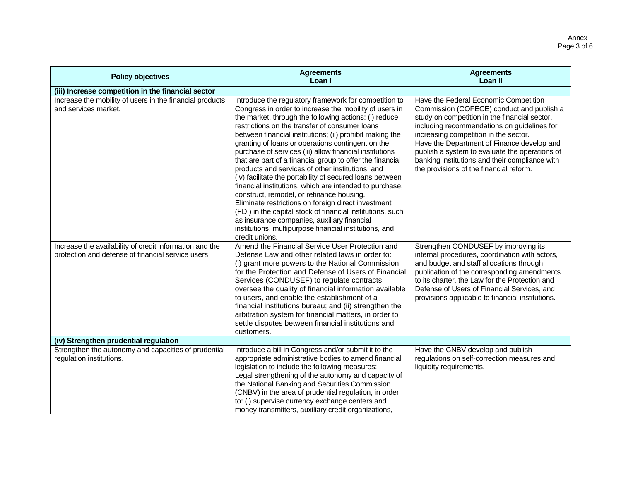| <b>Policy objectives</b>                                                                                      | <b>Agreements</b><br>Loan I                                                                                                                                                                                                                                                                                                                                                                                                                                                                                                                                                                                                                                                                                                                                                                                                                                                                                                                 | <b>Agreements</b><br>Loan II                                                                                                                                                                                                                                                                                                                                                                                             |
|---------------------------------------------------------------------------------------------------------------|---------------------------------------------------------------------------------------------------------------------------------------------------------------------------------------------------------------------------------------------------------------------------------------------------------------------------------------------------------------------------------------------------------------------------------------------------------------------------------------------------------------------------------------------------------------------------------------------------------------------------------------------------------------------------------------------------------------------------------------------------------------------------------------------------------------------------------------------------------------------------------------------------------------------------------------------|--------------------------------------------------------------------------------------------------------------------------------------------------------------------------------------------------------------------------------------------------------------------------------------------------------------------------------------------------------------------------------------------------------------------------|
| (iii) Increase competition in the financial sector                                                            |                                                                                                                                                                                                                                                                                                                                                                                                                                                                                                                                                                                                                                                                                                                                                                                                                                                                                                                                             |                                                                                                                                                                                                                                                                                                                                                                                                                          |
| Increase the mobility of users in the financial products<br>and services market.                              | Introduce the regulatory framework for competition to<br>Congress in order to increase the mobility of users in<br>the market, through the following actions: (i) reduce<br>restrictions on the transfer of consumer loans<br>between financial institutions; (ii) prohibit making the<br>granting of loans or operations contingent on the<br>purchase of services (iii) allow financial institutions<br>that are part of a financial group to offer the financial<br>products and services of other institutions; and<br>(iv) facilitate the portability of secured loans between<br>financial institutions, which are intended to purchase,<br>construct, remodel, or refinance housing.<br>Eliminate restrictions on foreign direct investment<br>(FDI) in the capital stock of financial institutions, such<br>as insurance companies, auxiliary financial<br>institutions, multipurpose financial institutions, and<br>credit unions. | Have the Federal Economic Competition<br>Commission (COFECE) conduct and publish a<br>study on competition in the financial sector,<br>including recommendations on guidelines for<br>increasing competition in the sector.<br>Have the Department of Finance develop and<br>publish a system to evaluate the operations of<br>banking institutions and their compliance with<br>the provisions of the financial reform. |
| Increase the availability of credit information and the<br>protection and defense of financial service users. | Amend the Financial Service User Protection and<br>Defense Law and other related laws in order to:<br>(i) grant more powers to the National Commission<br>for the Protection and Defense of Users of Financial<br>Services (CONDUSEF) to regulate contracts,<br>oversee the quality of financial information available<br>to users, and enable the establishment of a<br>financial institutions bureau; and (ii) strengthen the<br>arbitration system for financial matters, in order to<br>settle disputes between financial institutions and<br>customers.                                                                                                                                                                                                                                                                                                                                                                                | Strengthen CONDUSEF by improving its<br>internal procedures, coordination with actors,<br>and budget and staff allocations through<br>publication of the corresponding amendments<br>to its charter, the Law for the Protection and<br>Defense of Users of Financial Services, and<br>provisions applicable to financial institutions.                                                                                   |
| (iv) Strengthen prudential regulation                                                                         |                                                                                                                                                                                                                                                                                                                                                                                                                                                                                                                                                                                                                                                                                                                                                                                                                                                                                                                                             |                                                                                                                                                                                                                                                                                                                                                                                                                          |
| Strengthen the autonomy and capacities of prudential<br>regulation institutions.                              | Introduce a bill in Congress and/or submit it to the<br>appropriate administrative bodies to amend financial<br>legislation to include the following measures:<br>Legal strengthening of the autonomy and capacity of<br>the National Banking and Securities Commission<br>(CNBV) in the area of prudential regulation, in order<br>to: (i) supervise currency exchange centers and<br>money transmitters, auxiliary credit organizations,                                                                                                                                                                                                                                                                                                                                                                                                                                                                                                  | Have the CNBV develop and publish<br>regulations on self-correction measures and<br>liquidity requirements.                                                                                                                                                                                                                                                                                                              |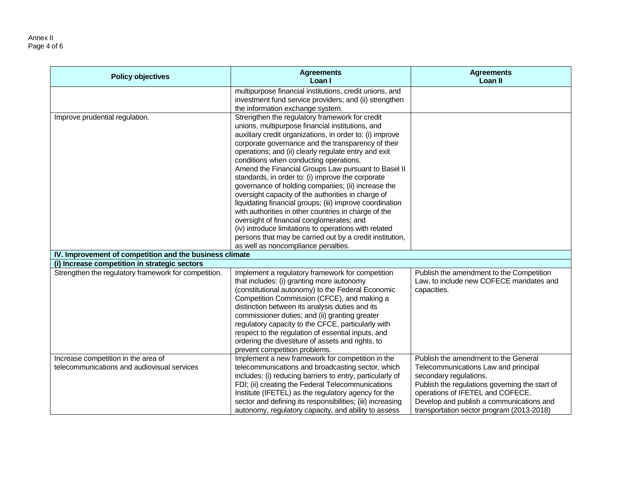#### Annex II Page 4 of 6

| multipurpose financial institutions, credit unions, and<br>investment fund service providers; and (ii) strengthen<br>the information exchange system.<br>Improve prudential regulation.<br>Strengthen the regulatory framework for credit<br>unions, multipurpose financial institutions, and<br>auxiliary credit organizations, in order to: (i) improve<br>corporate governance and the transparency of their<br>operations; and (ii) clearly regulate entry and exit<br>conditions when conducting operations.<br>Amend the Financial Groups Law pursuant to Basel II<br>standards, in order to: (i) improve the corporate<br>governance of holding companies; (ii) increase the<br>oversight capacity of the authorities in charge of<br>liquidating financial groups; (iii) improve coordination<br>with authorities in other countries in charge of the<br>oversight of financial conglomerates; and<br>(iv) introduce limitations to operations with related<br>persons that may be carried out by a credit institution, | <b>Policy objectives</b> | <b>Agreements</b><br>Loan I | <b>Agreements</b><br>Loan II |
|---------------------------------------------------------------------------------------------------------------------------------------------------------------------------------------------------------------------------------------------------------------------------------------------------------------------------------------------------------------------------------------------------------------------------------------------------------------------------------------------------------------------------------------------------------------------------------------------------------------------------------------------------------------------------------------------------------------------------------------------------------------------------------------------------------------------------------------------------------------------------------------------------------------------------------------------------------------------------------------------------------------------------------|--------------------------|-----------------------------|------------------------------|
|                                                                                                                                                                                                                                                                                                                                                                                                                                                                                                                                                                                                                                                                                                                                                                                                                                                                                                                                                                                                                                 |                          |                             |                              |
|                                                                                                                                                                                                                                                                                                                                                                                                                                                                                                                                                                                                                                                                                                                                                                                                                                                                                                                                                                                                                                 |                          |                             |                              |
|                                                                                                                                                                                                                                                                                                                                                                                                                                                                                                                                                                                                                                                                                                                                                                                                                                                                                                                                                                                                                                 |                          |                             |                              |
|                                                                                                                                                                                                                                                                                                                                                                                                                                                                                                                                                                                                                                                                                                                                                                                                                                                                                                                                                                                                                                 |                          |                             |                              |
|                                                                                                                                                                                                                                                                                                                                                                                                                                                                                                                                                                                                                                                                                                                                                                                                                                                                                                                                                                                                                                 |                          |                             |                              |
|                                                                                                                                                                                                                                                                                                                                                                                                                                                                                                                                                                                                                                                                                                                                                                                                                                                                                                                                                                                                                                 |                          |                             |                              |
|                                                                                                                                                                                                                                                                                                                                                                                                                                                                                                                                                                                                                                                                                                                                                                                                                                                                                                                                                                                                                                 |                          |                             |                              |
|                                                                                                                                                                                                                                                                                                                                                                                                                                                                                                                                                                                                                                                                                                                                                                                                                                                                                                                                                                                                                                 |                          |                             |                              |
|                                                                                                                                                                                                                                                                                                                                                                                                                                                                                                                                                                                                                                                                                                                                                                                                                                                                                                                                                                                                                                 |                          |                             |                              |
|                                                                                                                                                                                                                                                                                                                                                                                                                                                                                                                                                                                                                                                                                                                                                                                                                                                                                                                                                                                                                                 |                          |                             |                              |
|                                                                                                                                                                                                                                                                                                                                                                                                                                                                                                                                                                                                                                                                                                                                                                                                                                                                                                                                                                                                                                 |                          |                             |                              |
|                                                                                                                                                                                                                                                                                                                                                                                                                                                                                                                                                                                                                                                                                                                                                                                                                                                                                                                                                                                                                                 |                          |                             |                              |
|                                                                                                                                                                                                                                                                                                                                                                                                                                                                                                                                                                                                                                                                                                                                                                                                                                                                                                                                                                                                                                 |                          |                             |                              |
|                                                                                                                                                                                                                                                                                                                                                                                                                                                                                                                                                                                                                                                                                                                                                                                                                                                                                                                                                                                                                                 |                          |                             |                              |
|                                                                                                                                                                                                                                                                                                                                                                                                                                                                                                                                                                                                                                                                                                                                                                                                                                                                                                                                                                                                                                 |                          |                             |                              |
|                                                                                                                                                                                                                                                                                                                                                                                                                                                                                                                                                                                                                                                                                                                                                                                                                                                                                                                                                                                                                                 |                          |                             |                              |
|                                                                                                                                                                                                                                                                                                                                                                                                                                                                                                                                                                                                                                                                                                                                                                                                                                                                                                                                                                                                                                 |                          |                             |                              |
| as well as noncompliance penalties.                                                                                                                                                                                                                                                                                                                                                                                                                                                                                                                                                                                                                                                                                                                                                                                                                                                                                                                                                                                             |                          |                             |                              |
| IV. Improvement of competition and the business climate                                                                                                                                                                                                                                                                                                                                                                                                                                                                                                                                                                                                                                                                                                                                                                                                                                                                                                                                                                         |                          |                             |                              |
| (i) Increase competition in strategic sectors                                                                                                                                                                                                                                                                                                                                                                                                                                                                                                                                                                                                                                                                                                                                                                                                                                                                                                                                                                                   |                          |                             |                              |
| Strengthen the regulatory framework for competition.<br>Implement a regulatory framework for competition<br>Publish the amendment to the Competition<br>Law, to include new COFECE mandates and<br>that includes: (i) granting more autonomy                                                                                                                                                                                                                                                                                                                                                                                                                                                                                                                                                                                                                                                                                                                                                                                    |                          |                             |                              |
| (constitutional autonomy) to the Federal Economic<br>capacities.                                                                                                                                                                                                                                                                                                                                                                                                                                                                                                                                                                                                                                                                                                                                                                                                                                                                                                                                                                |                          |                             |                              |
| Competition Commission (CFCE), and making a                                                                                                                                                                                                                                                                                                                                                                                                                                                                                                                                                                                                                                                                                                                                                                                                                                                                                                                                                                                     |                          |                             |                              |
| distinction between its analysis duties and its                                                                                                                                                                                                                                                                                                                                                                                                                                                                                                                                                                                                                                                                                                                                                                                                                                                                                                                                                                                 |                          |                             |                              |
| commissioner duties; and (ii) granting greater                                                                                                                                                                                                                                                                                                                                                                                                                                                                                                                                                                                                                                                                                                                                                                                                                                                                                                                                                                                  |                          |                             |                              |
| regulatory capacity to the CFCE, particularly with                                                                                                                                                                                                                                                                                                                                                                                                                                                                                                                                                                                                                                                                                                                                                                                                                                                                                                                                                                              |                          |                             |                              |
| respect to the regulation of essential inputs, and                                                                                                                                                                                                                                                                                                                                                                                                                                                                                                                                                                                                                                                                                                                                                                                                                                                                                                                                                                              |                          |                             |                              |
| ordering the divestiture of assets and rights, to                                                                                                                                                                                                                                                                                                                                                                                                                                                                                                                                                                                                                                                                                                                                                                                                                                                                                                                                                                               |                          |                             |                              |
| prevent competition problems.                                                                                                                                                                                                                                                                                                                                                                                                                                                                                                                                                                                                                                                                                                                                                                                                                                                                                                                                                                                                   |                          |                             |                              |
| Implement a new framework for competition in the<br>Increase competition in the area of<br>Publish the amendment to the General                                                                                                                                                                                                                                                                                                                                                                                                                                                                                                                                                                                                                                                                                                                                                                                                                                                                                                 |                          |                             |                              |
| telecommunications and audiovisual services<br>telecommunications and broadcasting sector, which<br>Telecommunications Law and principal                                                                                                                                                                                                                                                                                                                                                                                                                                                                                                                                                                                                                                                                                                                                                                                                                                                                                        |                          |                             |                              |
| includes: (i) reducing barriers to entry, particularly of<br>secondary regulations.                                                                                                                                                                                                                                                                                                                                                                                                                                                                                                                                                                                                                                                                                                                                                                                                                                                                                                                                             |                          |                             |                              |
| FDI; (ii) creating the Federal Telecommunications<br>Publish the regulations governing the start of                                                                                                                                                                                                                                                                                                                                                                                                                                                                                                                                                                                                                                                                                                                                                                                                                                                                                                                             |                          |                             |                              |
| operations of IFETEL and COFECE.<br>Institute (IFETEL) as the regulatory agency for the                                                                                                                                                                                                                                                                                                                                                                                                                                                                                                                                                                                                                                                                                                                                                                                                                                                                                                                                         |                          |                             |                              |
| sector and defining its responsibilities; (iii) increasing<br>Develop and publish a communications and<br>autonomy, regulatory capacity, and ability to assess<br>transportation sector program (2013-2018)                                                                                                                                                                                                                                                                                                                                                                                                                                                                                                                                                                                                                                                                                                                                                                                                                     |                          |                             |                              |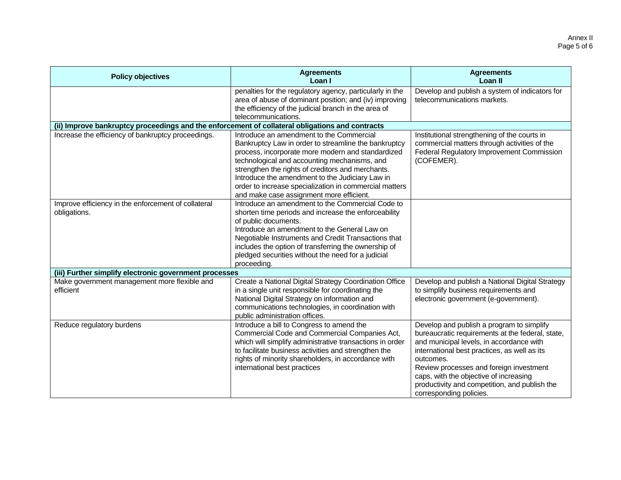| <b>Policy objectives</b>                                                                        | <b>Agreements</b><br>Loan I                                                                                                                                                                                                                                                                                                                                                                                         | <b>Agreements</b><br>Loan II                                                                                                                                                                                                                                                                                                                                            |
|-------------------------------------------------------------------------------------------------|---------------------------------------------------------------------------------------------------------------------------------------------------------------------------------------------------------------------------------------------------------------------------------------------------------------------------------------------------------------------------------------------------------------------|-------------------------------------------------------------------------------------------------------------------------------------------------------------------------------------------------------------------------------------------------------------------------------------------------------------------------------------------------------------------------|
|                                                                                                 | penalties for the regulatory agency, particularly in the<br>area of abuse of dominant position; and (iv) improving<br>the efficiency of the judicial branch in the area of<br>telecommunications.                                                                                                                                                                                                                   | Develop and publish a system of indicators for<br>telecommunications markets.                                                                                                                                                                                                                                                                                           |
| (ii) Improve bankruptcy proceedings and the enforcement of collateral obligations and contracts |                                                                                                                                                                                                                                                                                                                                                                                                                     |                                                                                                                                                                                                                                                                                                                                                                         |
| Increase the efficiency of bankruptcy proceedings.                                              | Introduce an amendment to the Commercial<br>Bankruptcy Law in order to streamline the bankruptcy<br>process, incorporate more modern and standardized<br>technological and accounting mechanisms, and<br>strengthen the rights of creditors and merchants.<br>Introduce the amendment to the Judiciary Law in<br>order to increase specialization in commercial matters<br>and make case assignment more efficient. | Institutional strengthening of the courts in<br>commercial matters through activities of the<br>Federal Regulatory Improvement Commission<br>(COFEMER).                                                                                                                                                                                                                 |
| Improve efficiency in the enforcement of collateral<br>obligations.                             | Introduce an amendment to the Commercial Code to<br>shorten time periods and increase the enforceability<br>of public documents.<br>Introduce an amendment to the General Law on<br>Negotiable Instruments and Credit Transactions that<br>includes the option of transferring the ownership of<br>pledged securities without the need for a judicial<br>proceeding.                                                |                                                                                                                                                                                                                                                                                                                                                                         |
| (iii) Further simplify electronic government processes                                          |                                                                                                                                                                                                                                                                                                                                                                                                                     |                                                                                                                                                                                                                                                                                                                                                                         |
| Make government management more flexible and<br>efficient                                       | Create a National Digital Strategy Coordination Office<br>in a single unit responsible for coordinating the<br>National Digital Strategy on information and<br>communications technologies, in coordination with<br>public administration offices.                                                                                                                                                                  | Develop and publish a National Digital Strategy<br>to simplify business requirements and<br>electronic government (e-government).                                                                                                                                                                                                                                       |
| Reduce regulatory burdens                                                                       | Introduce a bill to Congress to amend the<br>Commercial Code and Commercial Companies Act,<br>which will simplify administrative transactions in order<br>to facilitate business activities and strengthen the<br>rights of minority shareholders, in accordance with<br>international best practices                                                                                                               | Develop and publish a program to simplify<br>bureaucratic requirements at the federal, state,<br>and municipal levels, in accordance with<br>international best practices, as well as its<br>outcomes.<br>Review processes and foreign investment<br>caps, with the objective of increasing<br>productivity and competition, and publish the<br>corresponding policies. |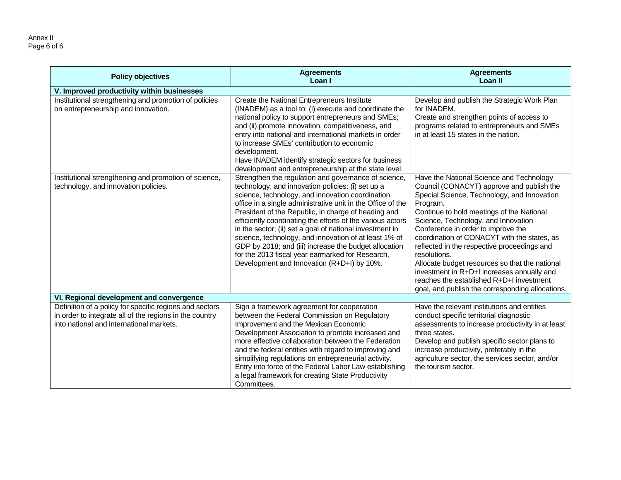Annex II Page 6 of 6

| <b>Policy objectives</b>                                                                                                                                       | <b>Agreements</b><br>Loan I                                                                                                                                                                                                                                                                                                                                                                                                                                                                                                                                                                                                       | <b>Agreements</b><br>Loan II                                                                                                                                                                                                                                                                                                                                                                                                                                                                                                                                                             |  |  |  |  |
|----------------------------------------------------------------------------------------------------------------------------------------------------------------|-----------------------------------------------------------------------------------------------------------------------------------------------------------------------------------------------------------------------------------------------------------------------------------------------------------------------------------------------------------------------------------------------------------------------------------------------------------------------------------------------------------------------------------------------------------------------------------------------------------------------------------|------------------------------------------------------------------------------------------------------------------------------------------------------------------------------------------------------------------------------------------------------------------------------------------------------------------------------------------------------------------------------------------------------------------------------------------------------------------------------------------------------------------------------------------------------------------------------------------|--|--|--|--|
| V. Improved productivity within businesses                                                                                                                     |                                                                                                                                                                                                                                                                                                                                                                                                                                                                                                                                                                                                                                   |                                                                                                                                                                                                                                                                                                                                                                                                                                                                                                                                                                                          |  |  |  |  |
| Institutional strengthening and promotion of policies<br>on entrepreneurship and innovation.                                                                   | Create the National Entrepreneurs Institute<br>(INADEM) as a tool to: (i) execute and coordinate the<br>national policy to support entrepreneurs and SMEs;<br>and (ii) promote innovation, competitiveness, and<br>entry into national and international markets in order<br>to increase SMEs' contribution to economic<br>development.<br>Have INADEM identify strategic sectors for business<br>development and entrepreneurship at the state level.                                                                                                                                                                            | Develop and publish the Strategic Work Plan<br>for INADEM.<br>Create and strengthen points of access to<br>programs related to entrepreneurs and SMEs<br>in at least 15 states in the nation.                                                                                                                                                                                                                                                                                                                                                                                            |  |  |  |  |
| Institutional strengthening and promotion of science,<br>technology, and innovation policies.                                                                  | Strengthen the regulation and governance of science,<br>technology, and innovation policies: (i) set up a<br>science, technology, and innovation coordination<br>office in a single administrative unit in the Office of the<br>President of the Republic, in charge of heading and<br>efficiently coordinating the efforts of the various actors<br>in the sector; (ii) set a goal of national investment in<br>science, technology, and innovation of at least 1% of<br>GDP by 2018; and (iii) increase the budget allocation<br>for the 2013 fiscal year earmarked for Research,<br>Development and Innovation (R+D+I) by 10%. | Have the National Science and Technology<br>Council (CONACYT) approve and publish the<br>Special Science, Technology, and Innovation<br>Program.<br>Continue to hold meetings of the National<br>Science, Technology, and Innovation<br>Conference in order to improve the<br>coordination of CONACYT with the states, as<br>reflected in the respective proceedings and<br>resolutions.<br>Allocate budget resources so that the national<br>investment in R+D+I increases annually and<br>reaches the established R+D+I investment<br>goal, and publish the corresponding allocations. |  |  |  |  |
| VI. Regional development and convergence                                                                                                                       |                                                                                                                                                                                                                                                                                                                                                                                                                                                                                                                                                                                                                                   |                                                                                                                                                                                                                                                                                                                                                                                                                                                                                                                                                                                          |  |  |  |  |
| Definition of a policy for specific regions and sectors<br>in order to integrate all of the regions in the country<br>into national and international markets. | Sign a framework agreement for cooperation<br>between the Federal Commission on Regulatory<br>Improvement and the Mexican Economic<br>Development Association to promote increased and<br>more effective collaboration between the Federation<br>and the federal entities with regard to improving and<br>simplifying regulations on entrepreneurial activity.<br>Entry into force of the Federal Labor Law establishing<br>a legal framework for creating State Productivity<br>Committees.                                                                                                                                      | Have the relevant institutions and entities<br>conduct specific territorial diagnostic<br>assessments to increase productivity in at least<br>three states.<br>Develop and publish specific sector plans to<br>increase productivity, preferably in the<br>agriculture sector, the services sector, and/or<br>the tourism sector.                                                                                                                                                                                                                                                        |  |  |  |  |